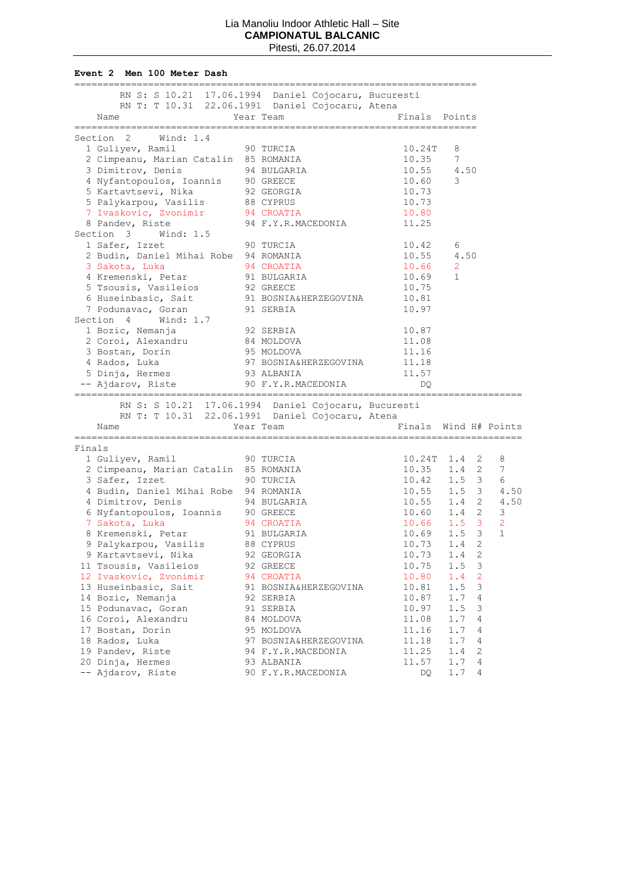**Event 2 Men 100 Meter Dash**

|        | RN S: S 10.21 17.06.1994 Daniel Cojocaru, Bucuresti<br>RN T: T 10.31 22.06.1991 Daniel Cojocaru, Atena |                                    |                            |                                 |              |
|--------|--------------------------------------------------------------------------------------------------------|------------------------------------|----------------------------|---------------------------------|--------------|
|        | Name                                                                                                   | Year Team                          | Finals Points              |                                 |              |
|        | Section 2<br>Wind: 1.4                                                                                 |                                    | -------------------------- |                                 |              |
|        | 1 Guliyev, Ramil<br>90 TURCIA                                                                          |                                    | 10.24T                     | 8                               |              |
|        | 2 Cimpeanu, Marian Catalin 85 ROMANIA                                                                  |                                    | 10.35                      | 7                               |              |
|        | 3 Dimitrov, Denis                                                                                      | 94 BULGARIA                        | 10.55                      | 4.50                            |              |
|        | 4 Nyfantopoulos, Ioannis 90 GREECE<br>5 Kartavtsevi, Nika 92 GEORGIA                                   |                                    | 10.60                      | 3                               |              |
|        |                                                                                                        |                                    | 10.73                      |                                 |              |
|        | 5 Palykarpou, Vasilis 88 CYPRUS                                                                        |                                    | 10.73                      |                                 |              |
|        | 7 Ivaskovic, Zvonimir                                                                                  | 94 CROATIA                         | 10.80                      |                                 |              |
|        | 8 Pandev, Riste                                                                                        | 94 F.Y.R.MACEDONIA                 | 11.25                      |                                 |              |
|        | Section 3<br>Wind: 1.5                                                                                 |                                    |                            |                                 |              |
|        | 1 Safer, Izzet                                                                                         | 90 TURCIA                          | 10.42                      | 6                               |              |
|        | 2 Budin, Daniel Mihai Robe 94 ROMANIA                                                                  |                                    |                            | 4.50                            |              |
|        | 3 Sakota, Luka                                                                                         | 94 CROATIA                         | 10.55<br>10.66             | 2                               |              |
|        | 4 Kremenski, Petar                                                                                     | 91 BULGARIA                        | 10.69                      | 1                               |              |
|        | 5 Tsousis, Vasileios                                                                                   |                                    | 10.75                      |                                 |              |
|        | 6 Huseinbasic, Sait                                                                                    | 92 GREECE<br>91 BOSNIA&HERZEGOVINA | 10.81                      |                                 |              |
|        | 91 SERBIA<br>7 Podunavac, Goran                                                                        |                                    | 10.97                      |                                 |              |
|        | Section 4<br>Wind: 1.7                                                                                 |                                    |                            |                                 |              |
|        | 1 Bozic, Nemanja                                                                                       | 92 SERBIA                          | 10.87                      |                                 |              |
|        | 2 Coroi, Alexandru 84 MOLDOVA                                                                          |                                    | 11.08                      |                                 |              |
|        | 3 Bostan, Dorin                                                                                        | 95 MOLDOVA                         | 11.16                      |                                 |              |
|        | 4 Rados, Luka                                                                                          | 97 BOSNIA&HERZEGOVINA              | 11.18                      |                                 |              |
|        | 5 Dinja, Hermes                                                                                        | 93 ALBANIA                         | 11.57                      |                                 |              |
|        | -- Ajdarov, Riste                                                                                      | 90 F.Y.R.MACEDONIA                 | DO                         |                                 |              |
|        |                                                                                                        |                                    |                            |                                 |              |
|        | RN S: S 10.21 17.06.1994 Daniel Cojocaru, Bucuresti                                                    |                                    |                            |                                 |              |
|        | RN T: T 10.31 22.06.1991 Daniel Cojocaru, Atena                                                        |                                    |                            |                                 |              |
|        | Name                                                                                                   | Year Team                          |                            | Finals Wind H# Points           |              |
| Finals | ------------------                                                                                     | --------------------               |                            |                                 |              |
|        | 1 Guliyev, Ramil                                                                                       | 90 TURCIA                          |                            |                                 | 8            |
|        | 2 Cimpeanu, Marian Catalin 85 ROMANIA                                                                  |                                    |                            | 10.24T 1.4 2<br>$10.35$ $1.4$ 2 | 7            |
|        | 3 Safer, Izzet                                                                                         | 90 TURCIA                          |                            | $10.42$ $1.5$ 3                 | 6            |
|        | 4 Budin, Daniel Mihai Robe 94 ROMANIA                                                                  |                                    |                            | $10.55$ $1.5$ 3                 | 4.50         |
|        | 4 Dimitrov, Denis                                                                                      | 94 BULGARIA                        |                            | $10.55$ $1.4$ 2                 | 4.50         |
|        |                                                                                                        |                                    |                            | $10.60$ 1.4 2                   | 3            |
|        | 6 Nyfantopoulos, Ioannis 90 GREECE<br>7 Sakota, Luka 94 CROATIA<br>7 Sakota, Luka                      |                                    |                            | $10.66$ $1.5$ 3                 | 2            |
|        |                                                                                                        |                                    |                            |                                 | $\mathbf{1}$ |
|        | 8 Kremenski, Petar 91 BULGARIA<br>9 Palykarpou, Vasilis 88 CYPRUS                                      |                                    | 10.73                      | $10.69$ $1.5$ 3<br>2<br>1.4     |              |
|        | 9 Kartavtsevi, Nika                                                                                    |                                    | 10.73                      | $\sqrt{2}$<br>1.4               |              |
|        | 11 Tsousis, Vasileios                                                                                  | 92 GEORGIA                         | 10.75                      | 3<br>1.5                        |              |
|        | 12 Ivaskovic, Zvonimir                                                                                 | 92 GREECE                          | 10.80                      | $\overline{2}$<br>1.4           |              |
|        | 13 Huseinbasic, Sait                                                                                   | 94 CROATIA                         | 10.81                      | 3<br>1.5                        |              |
|        | 14 Bozic, Nemanja                                                                                      | 91 BOSNIA&HERZEGOVINA<br>92 SERBIA | 10.87                      | 1.7<br>4                        |              |
|        | 15 Podunavac, Goran                                                                                    | 91 SERBIA                          | 10.97                      | 1.5<br>3                        |              |
|        | 16 Coroi, Alexandru                                                                                    | 84 MOLDOVA                         | 11.08                      | 1.7<br>4                        |              |
|        | 17 Bostan, Dorin                                                                                       | 95 MOLDOVA                         | 11.16                      | 1.7<br>4                        |              |
|        | 18 Rados, Luka                                                                                         | 97 BOSNIA&HERZEGOVINA              | 11.18                      | 1.7<br>4                        |              |
|        | 19 Pandev, Riste                                                                                       | 94 F.Y.R.MACEDONIA                 | 11.25                      | 2<br>1.4                        |              |
|        | 20 Dinja, Hermes                                                                                       | 93 ALBANIA                         | 11.57                      | 4<br>1.7                        |              |
|        | -- Ajdarov, Riste                                                                                      | 90 F.Y.R.MACEDONIA                 | DQ                         | 1.7<br>4                        |              |
|        |                                                                                                        |                                    |                            |                                 |              |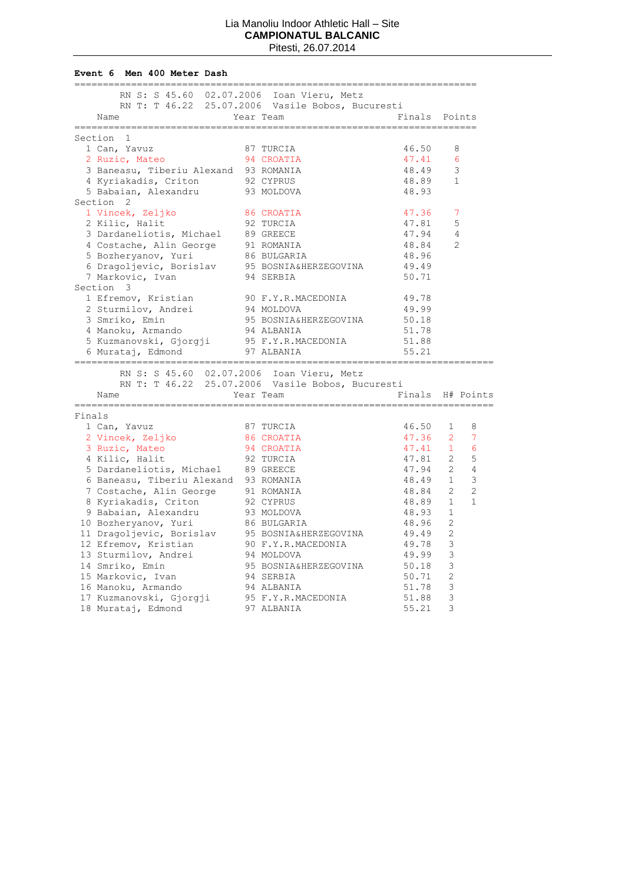**Event 6 Men 400 Meter Dash**

| RN S: S 45.60 02.07.2006 Ioan Vieru, Metz        |                         |               |                                  |
|--------------------------------------------------|-------------------------|---------------|----------------------------------|
| RN T: T 46.22 25.07.2006 Vasile Bobos, Bucuresti |                         |               |                                  |
| Name                                             | Year Team               | Finals Points |                                  |
| -------------------<br>==============            |                         |               |                                  |
| Section 1                                        |                         |               |                                  |
| 1 Can, Yavuz                                     | 87 TURCIA               | 46.50         | 8                                |
| 2 Ruzic, Mateo                                   | 94 CROATIA              | 47.41         | 6                                |
| 3 Baneasu, Tiberiu Alexand 93 ROMANIA            |                         | 48.49         | 3                                |
| 4 Kyriakadis, Criton                             |                         | 48.89         | 1                                |
| 5 Babaian, Alexandru                             | 92 CYPRUS<br>93 MOLDOVA | 48.93         |                                  |
| Section <sub>2</sub>                             |                         |               |                                  |
| 1 Vincek, Zeljko                                 | 86 CROATIA              | 47.36         | 7                                |
| 2 Kilic, Halit                                   | 92 TURCIA               | 47.81         | 5                                |
| 3 Dardaneliotis, Michael 89 GREECE               |                         | 47.94         | 4                                |
| 4 Costache, Alin George 91 ROMANIA               |                         | 48.84         | $\mathfrak{D}$                   |
| 5 Bozheryanov, Yuri                              | 86 BULGARIA             | 48.96         |                                  |
| 6 Dragoljevic, Borislav 95 BOSNIA&HERZEGOVINA    |                         | 49.49         |                                  |
| 7 Markovic, Ivan                                 | 94 SERBIA               | 50.71         |                                  |
| Section 3                                        |                         |               |                                  |
|                                                  |                         |               |                                  |
| 1 Efremov, Kristian                              | 90 F.Y.R.MACEDONIA      | 49.78         |                                  |
| 2 Sturmilov, Andrei                              | 94 MOLDOVA              | 49.99         |                                  |
| 3 Smriko, Emin                                   | 95 BOSNIA&HERZEGOVINA   | 50.18         |                                  |
| 4 Manoku, Armando                                | 94 ALBANIA              | 51.78         |                                  |
| 5 Kuzmanovski, Gjorgji                           | 95 F.Y.R.MACEDONIA      | 51.88         |                                  |
| 6 Murataj, Edmond                                | 97 ALBANIA              | 55.21         |                                  |
| RN S: S 45.60 02.07.2006 Ioan Vieru, Metz        |                         |               |                                  |
| RN T: T 46.22 25.07.2006 Vasile Bobos, Bucuresti |                         |               |                                  |
| Name                                             | Year Team               |               | Finals H# Points                 |
|                                                  |                         |               |                                  |
| Finals                                           |                         |               |                                  |
| 1 Can, Yavuz                                     | 87 TURCIA               | 46.50         | $1 \quad$<br>8                   |
| 2 Vincek, Zeljko                                 | 86 CROATIA              | 47.36 2       | 7                                |
|                                                  |                         | 47.41         | 6<br>$\mathbf{1}$                |
| 3 Ruzic, Mateo                                   | 94 CROATIA              |               | 5                                |
| 4 Kilic, Halit                                   | 92 TURCIA               | 47.81 2       |                                  |
| 5 Dardaneliotis, Michael 89 GREECE               |                         | 47.94         | $\overline{4}$<br>2              |
| 6 Baneasu, Tiberiu Alexand 93 ROMANIA            |                         | 48.49 1       | 3                                |
| 7 Costache, Alin George 91 ROMANIA               |                         | 48.84         | $\overline{2}$<br>$\overline{2}$ |
| 8 Kyriakadis, Criton                             | 92 CYPRUS               | 48.89         | $\mathbf{1}$<br>$\mathbf{1}$     |
| 9 Babaian, Alexandru                             | 93 MOLDOVA              | 48.93         | $\mathbf 1$                      |
| 10 Bozheryanov, Yuri                             | 86 BULGARIA             | 48.96         | $\overline{2}$                   |
| 11 Dragoljevic, Borislav                         | 95 BOSNIA&HERZEGOVINA   | 49.49         | $\overline{2}$                   |
| 12 Efremov, Kristian                             | 90 F.Y.R.MACEDONIA      | 49.78         | 3                                |
| 13 Sturmilov, Andrei                             | 94 MOLDOVA              | 49.99         | 3                                |
| 14 Smriko, Emin                                  | 95 BOSNIA&HERZEGOVINA   | 50.18         | 3                                |
| 15 Markovic, Ivan                                | 94 SERBIA               | 50.71         | $\overline{2}$                   |
| 16 Manoku, Armando                               | 94 ALBANIA              | 51.78         | 3                                |
| 17 Kuzmanovski, Gjorgji                          | 95 F.Y.R.MACEDONIA      | 51.88         | 3                                |
| 18 Murataj, Edmond                               | 97 ALBANIA              | 55.21         | 3                                |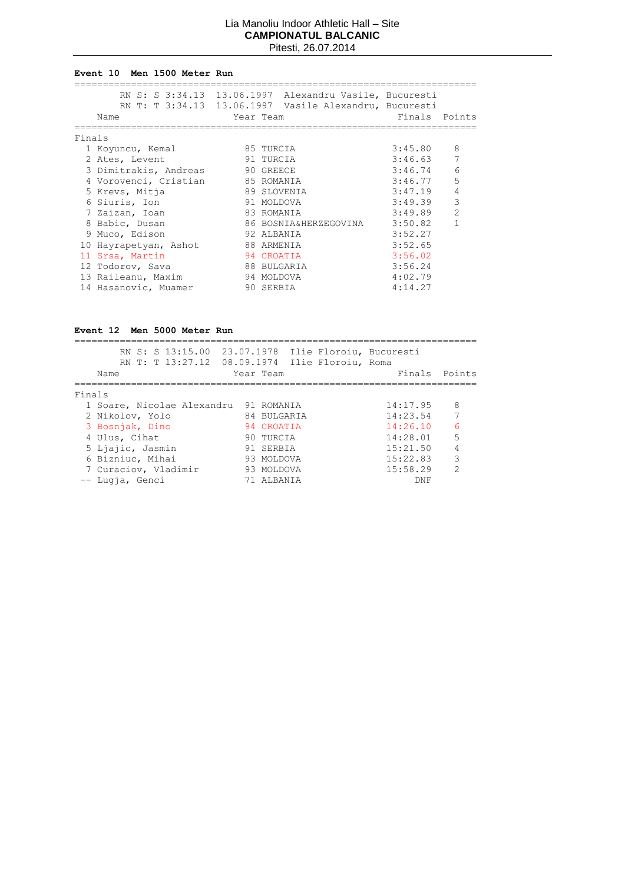#### **Event 10 Men 1500 Meter Run**

|        | Name                            | RN S: S 3:34.13 13.06.1997 Alexandru Vasile, Bucuresti<br>RN T: T 3:34.13 13.06.1997 Vasile Alexandru, Bucuresti<br>Year Team | Finals Points             |
|--------|---------------------------------|-------------------------------------------------------------------------------------------------------------------------------|---------------------------|
| Finals |                                 |                                                                                                                               |                           |
|        | 1 Koyuncu, Kemal                | 85 TURCIA                                                                                                                     | 3:45.80<br>8              |
|        | 2 Ates, Levent                  | 91 TURCIA                                                                                                                     | 7<br>3:46.63              |
|        | 3 Dimitrakis, Andreas 90 GREECE |                                                                                                                               | 6<br>3:46.74              |
|        | 4 Vorovenci, Cristian           | 85 ROMANIA                                                                                                                    | 5<br>3:46.77              |
|        | 5 Krevs, Mitja                  | 89 SLOVENIA                                                                                                                   | $\overline{4}$<br>3:47.19 |
|        | 6 Siuris, Ion                   | 91 MOLDOVA                                                                                                                    | 3<br>3:49.39              |
|        | 7 Zaizan, Ioan                  | 83 ROMANIA                                                                                                                    | $\mathfrak{D}$<br>3:49.89 |
|        | 8 Babic, Dusan                  | 86 BOSNIA&HERZEGOVINA                                                                                                         | 1<br>3:50.82              |
|        | 9 Muco, Edison                  | 92 ALBANIA                                                                                                                    | 3:52.27                   |
|        | 10 Hayrapetyan, Ashot           | 88 ARMENIA                                                                                                                    | 3:52.65                   |
|        | 11 Srsa, Martin                 | 94 CROATIA                                                                                                                    | 3:56.02                   |
|        | 12 Todorov, Sava                | 88 BULGARIA                                                                                                                   | 3:56.24                   |
|        | 13 Raileanu, Maxim              | 94 MOLDOVA                                                                                                                    | 4:02.79                   |
|        | 14 Hasanovic, Muamer            | 90 SERBIA                                                                                                                     | 4:14.27                   |

# **Event 12 Men 5000 Meter Run**

|        | RN S: S 13:15.00 23.07.1978 Ilie Floroiu, Bucuresti<br>RN T: T 13:27.12 08.09.1974 Ilie Floroiu, Roma<br>Name | Year Team   |  | Finals Points |                |
|--------|---------------------------------------------------------------------------------------------------------------|-------------|--|---------------|----------------|
| Finals |                                                                                                               |             |  |               |                |
|        | 1 Soare, Nicolae Alexandru 91 ROMANIA                                                                         |             |  | 14:17.95      | - 8            |
|        | 2 Nikolov, Yolo                                                                                               | 84 BULGARIA |  | 14:23.54      | 7              |
|        | 3 Bosnjak, Dino                                                                                               | 94 CROATIA  |  | 14:26.10      | 6              |
|        | 4 Ulus, Cihat                                                                                                 | 90 TURCIA   |  | 14:28.01      | 5              |
|        | 5 Ljajic, Jasmin                                                                                              | 91 SERBIA   |  | 15:21.50      | $\overline{4}$ |
|        | 6 Bizniuc, Mihai                                                                                              | 93 MOLDOVA  |  | 15:22.83      | 3              |
|        | 7 Curaciov, Vladimir                                                                                          | 93 MOLDOVA  |  | 15:58.29      | $\mathcal{P}$  |
|        | -- Lugia, Genci                                                                                               | 71 ALBANIA  |  | DNF           |                |
|        |                                                                                                               |             |  |               |                |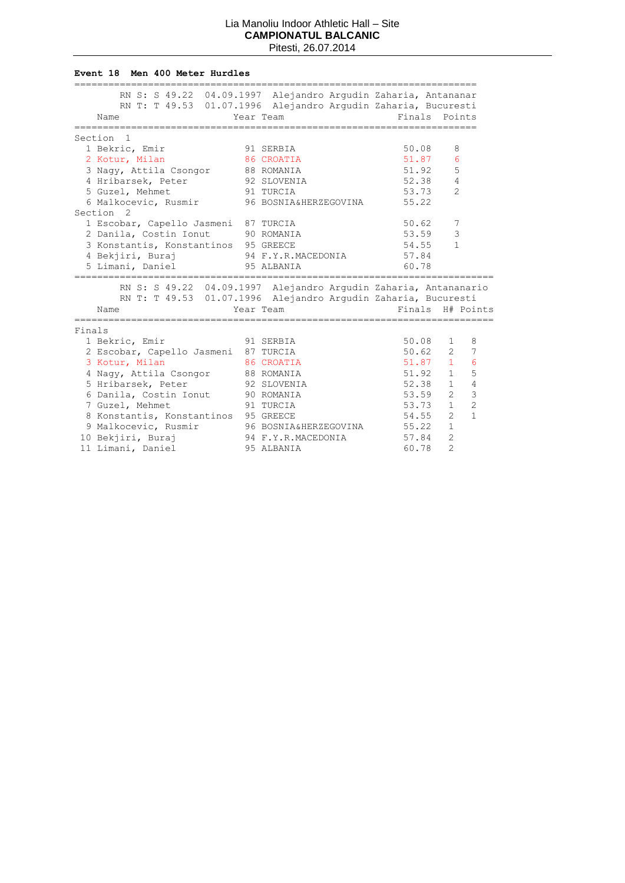#### **Event 18 Men 400 Meter Hurdles**

|        | RN S: S 49.22 04.09.1997 Alejandro Arqudin Zaharia, Antananar   |                             |        |                                |
|--------|-----------------------------------------------------------------|-----------------------------|--------|--------------------------------|
|        | RN T: T 49.53 01.07.1996 Alejandro Argudin Zaharia, Bucuresti   |                             |        |                                |
|        | Name                                                            | Year Team                   |        | Finals Points                  |
|        | ==================                                              |                             |        |                                |
|        | Section <sub>1</sub>                                            |                             |        |                                |
|        | 1 Bekric, Emir                                                  | 91 SERBIA                   | 50.08  | 8                              |
|        | 2 Kotur, Milan                                                  | 86 CROATIA                  | 51.87  | 6                              |
|        | 3 Nagy, Attila Csongor 88 ROMANIA                               |                             | 51.92  | 5                              |
|        | 4 Hribarsek, Peter                                              | 92 SLOVENIA                 | 52.38  | 4                              |
|        | 91 TURCIA<br>5 Guzel, Mehmet                                    |                             | 53.73  | $\overline{2}$                 |
|        | 6 Malkocevic, Rusmir 96 BOSNIA&HERZEGOVINA                      |                             | 55.22  |                                |
|        | Section <sub>2</sub>                                            |                             |        |                                |
|        | 1 Escobar, Capello Jasmeni 87 TURCIA                            |                             | 50.62  | 7                              |
|        | 2 Danila, Costin Ionut 90 ROMANIA                               |                             | 53.59  | 3                              |
|        | 3 Konstantis, Konstantinos 95 GREECE                            |                             | 54.55  | $\mathbf{1}$                   |
|        | 4 Bekjiri, Buraj                                                | 94 F.Y.R.MACEDONIA 57.84    |        |                                |
|        | 5 Limani, Daniel                                                | 95 ALBANIA                  | 60.78  |                                |
|        |                                                                 |                             |        |                                |
|        | RN S: S 49.22 04.09.1997 Alejandro Argudin Zaharia, Antananario |                             |        |                                |
|        | RN T: T 49.53 01.07.1996 Alejandro Argudin Zaharia, Bucuresti   |                             |        |                                |
|        | Name                                                            | Year Team                   | Finals | H# Points                      |
| Finals |                                                                 |                             |        |                                |
|        | 1 Bekric, Emir<br>91 SERBIA                                     |                             | 50.08  | $\mathbf{1}$<br>8              |
|        | 2 Escobar, Capello Jasmeni 87 TURCIA                            |                             | 50.62  | $2^{\circ}$<br>7               |
|        | 3 Kotur, Milan                                                  | 86 CROATIA                  | 51.87  | $\mathbf{1}$<br>6              |
|        |                                                                 |                             | 51.92  | 5<br>$\mathbf{1}$              |
|        | 4 Nagy, Attila Csongor 88 ROMANIA                               | 92 SLOVENIA                 | 52.38  | $\overline{4}$<br>$\mathbf{1}$ |
|        | 5 Hribarsek, Peter                                              |                             |        | 3<br>$\overline{2}$            |
|        | 6 Danila, Costin Ionut 90 ROMANIA                               |                             | 53.59  |                                |
|        | 7 Guzel, Mehmet<br>91 TURCIA                                    |                             | 53.73  | $\overline{c}$<br>$\mathbf{1}$ |
|        | 8 Konstantis, Konstantinos 95 GREECE                            |                             | 54.55  | $\mathbf{1}$<br>$\mathcal{L}$  |
|        | 9 Malkocevic, Rusmir                                            | 96 BOSNIA&HERZEGOVINA 55.22 |        | $\mathbf{1}$                   |
|        | 10 Bekjiri, Buraj                                               | 94 F.Y.R.MACEDONIA          | 57.84  | $\overline{2}$                 |
|        | 11 Limani, Daniel                                               | 95 ALBANIA                  | 60.78  | $\overline{2}$                 |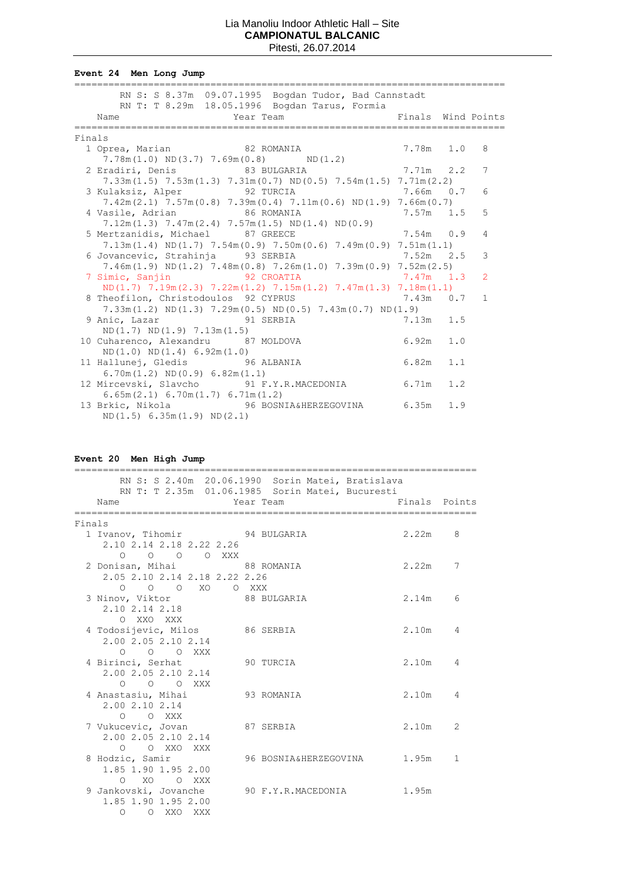**Event 24 Men Long Jump**

|        | RN S: S 8.37m 09.07.1995 Bogdan Tudor, Bad Cannstadt                                                             |  |              |
|--------|------------------------------------------------------------------------------------------------------------------|--|--------------|
|        | RN T: T 8.29m 18.05.1996 Bogdan Tarus, Formia<br>Year Team The South Pinals Wind Points<br>Name                  |  |              |
| Finals |                                                                                                                  |  |              |
|        | 7.78m 1.0<br>82 ROMANIA<br>1 Oprea, Marian                                                                       |  | 8            |
|        | $7.78m(1.0) \text{ ND}(3.7) 7.69m(0.8) \text{ ND}(1.2)$                                                          |  |              |
|        | 2 Eradiri, Denis 83 BULGARIA 7.71m 2.2                                                                           |  | 7            |
|        | $7.33\text{m}(1.5)$ $7.53\text{m}(1.3)$ $7.31\text{m}(0.7)$ ND(0.5) $7.54\text{m}(1.5)$ $7.71\text{m}(2.2)$      |  |              |
|        | 3 Kulaksiz, Alper 32 TURCIA 3 200 7.66m 0.7                                                                      |  | 6            |
|        | $7.42\text{m} (2.1)$ $7.57\text{m} (0.8)$ $7.39\text{m} (0.4)$ $7.11\text{m} (0.6)$ ND(1.9) $7.66\text{m} (0.7)$ |  |              |
|        | 4 Vasile, Adrian 86 ROMANIA<br>$7.57m$ 1.5                                                                       |  | 5            |
|        | $7.12m(1.3)$ $7.47m(2.4)$ $7.57m(1.5)$ ND(1.4) ND(0.9)                                                           |  |              |
|        | 5 Mertzanidis, Michael 87 GREECE 32 7.54m 0.9                                                                    |  | 4            |
|        | $7.13m(1.4) \text{ ND}(1.7) 7.54m(0.9) 7.50m(0.6) 7.49m(0.9) 7.51m(1.1)$                                         |  |              |
|        | $7.52m$ 2.5<br>6 Jovancevic, Strahinja 93 SERBIA                                                                 |  | 3            |
|        | $7.46m(1.9)$ ND(1.2) $7.48m(0.8)$ $7.26m(1.0)$ $7.39m(0.9)$ $7.52m(2.5)$                                         |  |              |
|        | 7 Simic, Sanjin 92 CROATIA 1.3                                                                                   |  | 2            |
|        | $ND(1.7)$ $7.19m(2.3)$ $7.22m(1.2)$ $7.15m(1.2)$ $7.47m(1.3)$ $7.18m(1.1)$                                       |  |              |
|        | 8 Theofilon, Christodoulos 92 CYPRUS 7.43m 0.7                                                                   |  | $\mathbf{1}$ |
|        | $7.33m(1.2)$ ND(1.3) $7.29m(0.5)$ ND(0.5) $7.43m(0.7)$ ND(1.9)                                                   |  |              |
|        | 9 Anic, Lazar 91 SERBIA<br>7.13m 1.5                                                                             |  |              |
|        | ND(1.7) ND(1.9) 7.13m(1.5)                                                                                       |  |              |
|        | $6.92m$ 1.0<br>10 Cuharenco, Alexandru 87 MOLDOVA                                                                |  |              |
|        | ND(1.0) ND(1.4) 6.92m(1.0)                                                                                       |  |              |
|        | $6.82m$ $1.1$<br>11 Hallunej, Gledis 96 ALBANIA                                                                  |  |              |
|        | $6.70m(1.2) \quad ND(0.9) \quad 6.82m(1.1)$                                                                      |  |              |
|        | 12 Mircevski, Slavcho 91 F.Y.R.MACEDONIA 6.71m 1.2                                                               |  |              |
|        | 6.65m(2.1) 6.70m(1.7) 6.71m(1.2)                                                                                 |  |              |
|        | 13 Brkic, Nikola 6.35m 1.9 96 BOSNIA&HERZEGOVINA 6.35m 1.9                                                       |  |              |
|        | ND(1.5) 6.35m(1.9) ND(2.1)                                                                                       |  |              |

# **Event 20 Men High Jump**

|        | RN S: S 2.40m 20.06.1990 Sorin Matei, Bratislava<br>RN T: T 2.35m 01.06.1985 Sorin Matei, Bucuresti |                               |               |   |
|--------|-----------------------------------------------------------------------------------------------------|-------------------------------|---------------|---|
|        | Name                                                                                                | Year Team                     | Finals Points |   |
| Finals |                                                                                                     |                               |               |   |
|        | 1 Ivanov, Tihomir 94 BULGARIA<br>2.10 2.14 2.18 2.22 2.26                                           |                               | 2.22m 8       |   |
|        | 0 0 0 0 XXX                                                                                         |                               |               |   |
|        | 2 Donisan, Mihai 68 ROMANIA                                                                         |                               | $2.22m$ 7     |   |
|        | 2.05 2.10 2.14 2.18 2.22 2.26<br>O O O XO O XXX                                                     |                               |               |   |
|        | 3 Ninov, Viktor 68 BULGARIA                                                                         |                               | 2.14m 6       |   |
|        | 2.10 2.14 2.18                                                                                      |                               |               |   |
|        | O XXO XXX                                                                                           |                               |               |   |
|        | 4 Todosijevic, Milos 86 SERBIA                                                                      |                               | 2.10m 4       |   |
|        | 2.00 2.05 2.10 2.14                                                                                 |                               |               |   |
|        | $O$ $O$ $O$ $XXX$                                                                                   |                               |               |   |
|        | 4 Birinci, Serhat                                                                                   | 90 TURCIA                     | $2.10m$ 4     |   |
|        | 2.00 2.05 2.10 2.14                                                                                 |                               |               |   |
|        | O O O XXX<br>4 Anastasiu, Mihai 93 ROMANIA                                                          |                               | 2.10m         | 4 |
|        | 2.002.102.14                                                                                        |                               |               |   |
|        | O O XXX                                                                                             |                               |               |   |
|        | 7 Vukucevic, Jovan 87 SERBIA                                                                        |                               | 2.10m         | 2 |
|        | 2.00 2.05 2.10 2.14                                                                                 |                               |               |   |
|        | O O XXO XXX                                                                                         |                               |               |   |
|        | 8 Hodzic, Samir                                                                                     | 96 BOSNIA&HERZEGOVINA 1.95m 1 |               |   |
|        | 1.85 1.90 1.95 2.00                                                                                 |                               |               |   |
|        | O XO O XXX                                                                                          |                               |               |   |
|        | 9 Jankovski, Jovanche 90 F.Y.R.MACEDONIA 1.95m                                                      |                               |               |   |
|        | 1.85 1.90 1.95 2.00<br>O O XXO XXX                                                                  |                               |               |   |
|        |                                                                                                     |                               |               |   |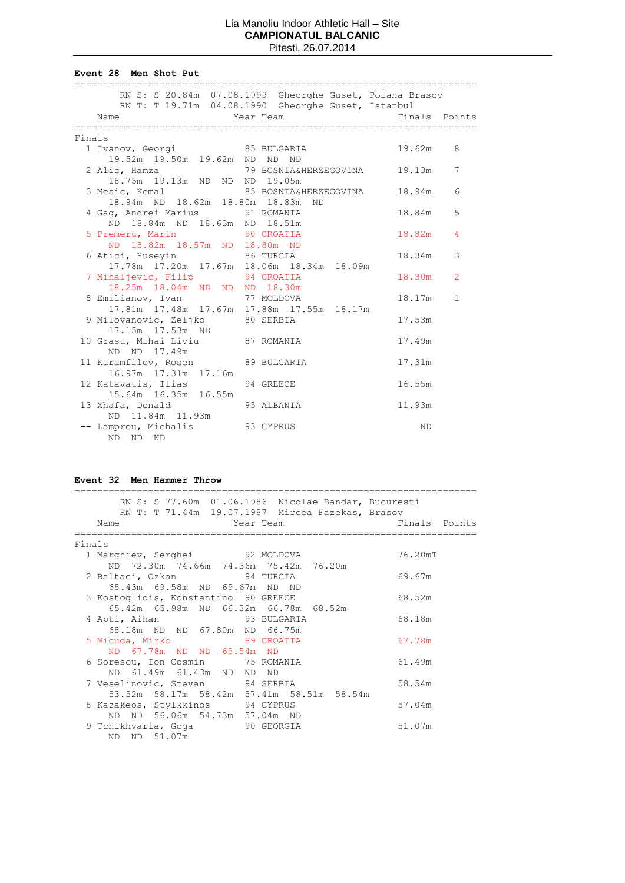**Event 28 Men Shot Put**

|        |                                                                | RN S: S 20.84m 07.08.1999 Gheorghe Guset, Poiana Brasov<br>RN T: T 19.71m 04.08.1990 Gheorghe Guset, Istanbul |                |
|--------|----------------------------------------------------------------|---------------------------------------------------------------------------------------------------------------|----------------|
|        | Name                                                           | Finals Points<br>Year Team                                                                                    |                |
| Finals |                                                                |                                                                                                               |                |
|        | 1 Ivanov, Georgi 65 BULGARIA                                   | 19.62m                                                                                                        | 8              |
|        | 19.52m  19.50m  19.62m  ND  ND  ND                             | 2 Alic, Hamza (2008) 79 BOSNIA&HERZEGOVINA (2009) 19.13m                                                      | 7              |
|        | 18.75m 19.13m ND ND ND 19.05m                                  |                                                                                                               |                |
|        |                                                                | 3 Mesic, Kemal 85 BOSNIA&HERZEGOVINA 18.94m<br>18.94m ND 18.62m 18.80m 18.83m ND                              | 6              |
|        |                                                                |                                                                                                               |                |
|        | 4 Gaq, Andrei Marius 91 ROMANIA                                | 18.84m                                                                                                        | 5              |
|        | ND 18.84m ND 18.63m ND 18.51m                                  | 18.82m                                                                                                        | $\overline{4}$ |
|        | 5 Premeru, Marin 5 90 CROATIA<br>ND 18.82m 18.57m ND 18.80m ND |                                                                                                               |                |
|        | 6 Atici, Huseyin 86 TURCIA                                     | 18.34m                                                                                                        | 3              |
|        |                                                                | 17.78m  17.20m  17.67m  18.06m  18.34m  18.09m                                                                |                |
|        | 7 Mihaljevic, Filip 94 CROATIA                                 | 18.30m                                                                                                        | 2              |
|        | 18.25m 18.04m ND ND ND 18.30m                                  |                                                                                                               |                |
|        | 8 Emilianov, Ivan 17 MOLDOVA                                   | 18.17m                                                                                                        | $\mathbf{1}$   |
|        | 9 Milovanovic, Zeljko 80 SERBIA                                | 17.81m  17.48m  17.67m  17.88m  17.55m  18.17m<br>17.53m                                                      |                |
|        | 17.15m  17.53m  ND                                             |                                                                                                               |                |
|        | 10 Grasu, Mihai Liviu 87 ROMANIA                               | 17.49m                                                                                                        |                |
|        | ND ND 17.49m                                                   |                                                                                                               |                |
|        | 11 Karamfilov, Rosen 89 BULGARIA                               | 17.31m                                                                                                        |                |
|        | 16.97m  17.31m  17.16m                                         |                                                                                                               |                |
|        | 12 Katavatis, Ilias                                            | 16.55m<br>94 GREECE                                                                                           |                |
|        | 15.64m 16.35m 16.55m                                           | 95 ALBANIA<br>11.93m                                                                                          |                |
|        | 13 Xhafa, Donald<br>ND 11.84m 11.93m                           |                                                                                                               |                |
|        | -- Lamprou, Michalis 93 CYPRUS                                 | <b>ND</b>                                                                                                     |                |
|        | ND -<br>ND ND                                                  |                                                                                                               |                |

#### **Event 32 Men Hammer Throw**

| RN S: S 77.60m 01.06.1986 Nicolae Bandar, Bucuresti<br>RN T: T 71.44m 19.07.1987 Mircea Fazekas, Brasov |               |
|---------------------------------------------------------------------------------------------------------|---------------|
| Name<br>External Year Team                                                                              | Finals Points |
| Finals                                                                                                  |               |
| 1 Marghiev, Serghei 92 MOLDOVA                                                                          | 76.20mT       |
| ND 72.30m 74.66m 74.36m 75.42m 76.20m                                                                   |               |
| 2 Baltaci, Ozkan 94 TURCIA                                                                              | 69.67m        |
| 68.43m 69.58m ND 69.67m ND ND                                                                           |               |
| 3 Kostoglidis, Konstantino 90 GREECE                                                                    | 68.52m        |
| 65.42m 65.98m ND 66.32m 66.78m 68.52m                                                                   |               |
| 4 Apti, Aihan 93 BULGARIA                                                                               | 68.18m        |
| 68.18m ND ND 67.80m ND 66.75m<br>5 Micuda, Mirko 89 CROATIA                                             | 67.78m        |
| ND 67.78m ND ND 65.54m ND                                                                               |               |
| 6 Sorescu, Ion Cosmin 75 ROMANIA                                                                        | 61.49m        |
| ND 61.49m 61.43m ND ND ND                                                                               |               |
| 7 Veselinovic, Stevan 94 SERBIA                                                                         | 58.54m        |
| 53.52m 58.17m 58.42m 57.41m 58.51m 58.54m                                                               |               |
| 8 Kazakeos, Stylkkinos 94 CYPRUS                                                                        | 57.04m        |
| ND ND 56.06m 54.73m 57.04m ND                                                                           |               |
| 9 Tchikhvaria, Goga (90 GEORGIA                                                                         | 51.07m        |
| ND ND 51.07m                                                                                            |               |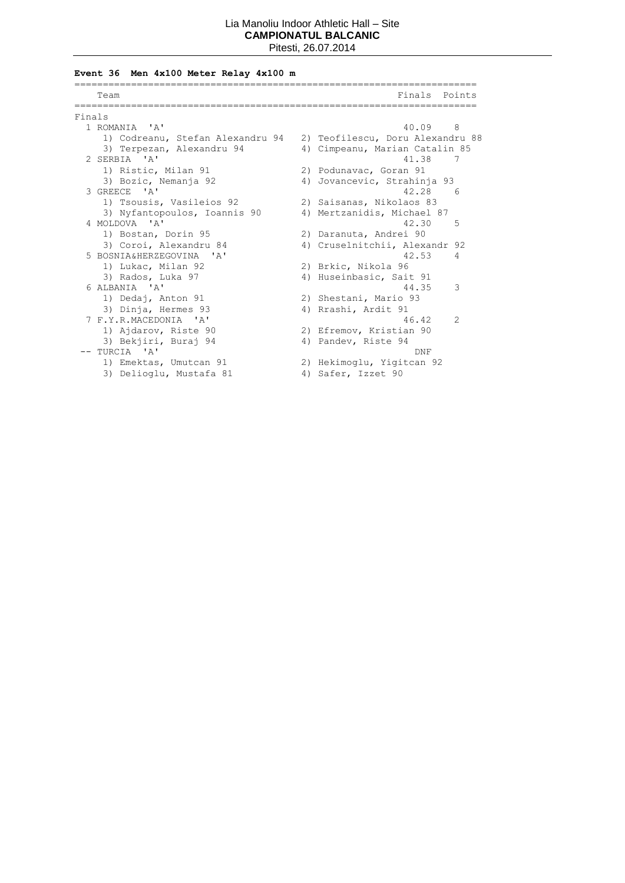# **Event 36 Men 4x100 Meter Relay 4x100 m**

|        | Team                             | Finals<br>Points                 |
|--------|----------------------------------|----------------------------------|
|        |                                  | ---------------------            |
| Finals |                                  |                                  |
|        | 1 ROMANIA 'A'                    | 40.09<br>8                       |
|        | 1) Codreanu, Stefan Alexandru 94 | 2) Teofilescu, Doru Alexandru 88 |
|        | 3) Terpezan, Alexandru 94        | 4) Cimpeanu, Marian Catalin 85   |
|        | 2 SERBIA 'A'                     | 41.38<br>7                       |
|        | 1) Ristic, Milan 91              | 2) Podunavac, Goran 91           |
|        | 3) Bozic, Nemanja 92             | 4) Jovancevic, Strahinja 93      |
|        | 3 GREECE 'A'                     | 42.28<br>-6                      |
|        | 1) Tsousis, Vasileios 92         | 2) Saisanas, Nikolaos 83         |
|        | 3) Nyfantopoulos, Ioannis 90     | 4) Mertzanidis, Michael 87       |
|        | 4 MOLDOVA 'A'                    | 42.30<br>5                       |
|        | 1) Bostan, Dorin 95              | 2) Daranuta, Andrei 90           |
|        | 3) Coroi, Alexandru 84           | 4) Cruselnitchii, Alexandr 92    |
|        | 5 BOSNIA&HERZEGOVINA 'A'         | 42.53<br>4                       |
|        | 1) Lukac, Milan 92               | 2) Brkic, Nikola 96              |
|        | 3) Rados, Luka 97                | 4) Huseinbasic, Sait 91          |
|        | 6 ALBANIA 'A'                    | 3<br>44.35                       |
|        | 1) Dedaj, Anton 91               | 2) Shestani, Mario 93            |
|        | 3) Dinja, Hermes 93              | 4) Rrashi, Ardit 91              |
|        | 7 F.Y.R.MACEDONIA 'A'            | 2<br>46.42                       |
|        | 1) Ajdarov, Riste 90             | 2) Efremov, Kristian 90          |
|        | 3) Bekjiri, Buraj 94             | 4) Pandev, Riste 94              |
|        | $--$ TURCIA 'A'                  | <b>DNF</b>                       |
|        | 1) Emektas, Umutcan 91           | 2) Hekimoglu, Yigitcan 92        |
|        | 3) Delioglu, Mustafa 81          | 4) Safer, Izzet 90               |
|        |                                  |                                  |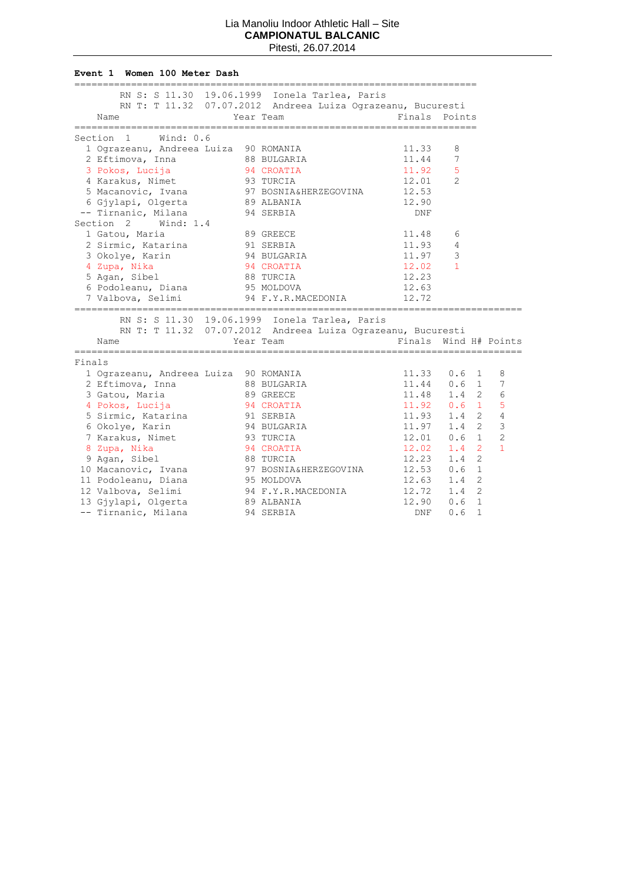#### **Event 1 Women 100 Meter Dash**

|        |                                       | RN S: S 11.30 19.06.1999 Ionela Tarlea, Paris               |               |                       |                |
|--------|---------------------------------------|-------------------------------------------------------------|---------------|-----------------------|----------------|
|        |                                       | RN T: T 11.32 07.07.2012 Andreea Luiza Ograzeanu, Bucuresti |               |                       |                |
|        | Name                                  | Year Team                                                   | Finals Points |                       |                |
|        |                                       |                                                             |               |                       |                |
|        | Section 1<br>Wind: $0.6$              |                                                             |               |                       |                |
|        | 1 Ograzeanu, Andreea Luiza 90 ROMANIA |                                                             | 11.33         | 8                     |                |
|        | 2 Eftimova, Inna                      | 88 BULGARIA                                                 | 11.44         | 7                     |                |
|        | 3 Pokos, Lucija                       | 94 CROATIA                                                  | 11.92         | 5                     |                |
|        | 4 Karakus, Nimet                      | 93 TURCIA                                                   | 12.01         | $\mathcal{L}$         |                |
|        | 5 Macanovic, Ivana                    | 97 BOSNIA&HERZEGOVINA                                       | 12.53         |                       |                |
|        | 6 Gjylapi, Olgerta                    | 89 ALBANIA                                                  | 12.90         |                       |                |
|        | -- Tirnanic, Milana                   | 94 SERBIA                                                   | <b>DNF</b>    |                       |                |
|        | Wind: 1.4<br>Section 2                |                                                             |               |                       |                |
|        | 1 Gatou, Maria                        | 89 GREECE                                                   | 11.48         | 6                     |                |
|        | 2 Sirmic, Katarina                    | 91 SERBIA                                                   | 11.93         | 4                     |                |
|        | 3 Okolye, Karin                       | 94 BULGARIA                                                 | 11.97         | 3                     |                |
|        | 4 Zupa, Nika                          | 94 CROATIA                                                  | 12.02         | $\mathbf{1}$          |                |
|        | 5 Agan, Sibel                         | 88 TURCIA                                                   | 12.23         |                       |                |
|        | 6 Podoleanu, Diana                    | 95 MOLDOVA                                                  | 12.63         |                       |                |
|        | 7 Valbova, Selimi                     | 94 F.Y.R.MACEDONIA                                          | 12.72         |                       |                |
|        |                                       | ============================                                |               |                       |                |
|        |                                       | RN S: S 11.30 19.06.1999 Ionela Tarlea, Paris               |               |                       |                |
|        |                                       | RN T: T 11.32 07.07.2012 Andreea Luiza Ograzeanu, Bucuresti |               |                       |                |
|        | Name                                  | Year Team                                                   |               | Finals Wind H# Points |                |
|        | --------------                        | ==============================<br>______________________    |               |                       |                |
| Finals |                                       |                                                             |               |                       |                |
|        | 1 Ograzeanu, Andreea Luiza 90 ROMANIA |                                                             | 11.33         | $0.6 \quad 1$         | 8              |
|        | 2 Eftimova, Inna                      | 88 BULGARIA                                                 |               | $11.44$ 0.6 1         | 7              |
|        | 3 Gatou, Maria                        | 89 GREECE                                                   |               | $11.48$ $1.4$ 2       | 6              |
|        | 4 Pokos, Lucija                       | 94 CROATIA                                                  |               | $11.92$ 0.6 1         | 5              |
|        | 5 Sirmic, Katarina                    | 91 SERBIA                                                   | 11.93         | $\overline{2}$<br>1.4 | $\overline{4}$ |
|        | 6 Okolye, Karin                       | 94 BULGARIA                                                 | 11.97         | $\overline{2}$<br>1.4 | 3              |
|        | 7 Karakus, Nimet                      | 93 TURCIA                                                   | 12.01         | $\mathbf{1}$<br>0.6   | $\overline{c}$ |
|        | 8 Zupa, Nika                          | 94 CROATIA                                                  | 12.02         | $\overline{2}$<br>1.4 | $\mathbf{1}$   |
|        | 9 Agan, Sibel                         | 88 TURCIA                                                   | 12.23         | $\overline{2}$<br>1.4 |                |
|        | 10 Macanovic, Ivana                   | 97 BOSNIA&HERZEGOVINA                                       | 12.53         | $\mathbf{1}$<br>0.6   |                |
|        | 11 Podoleanu, Diana                   | 95 MOLDOVA                                                  | 12.63         | $\overline{2}$<br>1.4 |                |
|        | 12 Valbova, Selimi                    | 94 F.Y.R.MACEDONIA                                          | 12.72         | $\overline{2}$<br>1.4 |                |
|        | 13 Gjylapi, Olgerta                   | 89 ALBANIA                                                  | 12.90         | $\mathbf{1}$<br>0.6   |                |
|        | -- Tirnanic, Milana                   | 94 SERBIA                                                   | <b>DNF</b>    | $\mathbf{1}$<br>0.6   |                |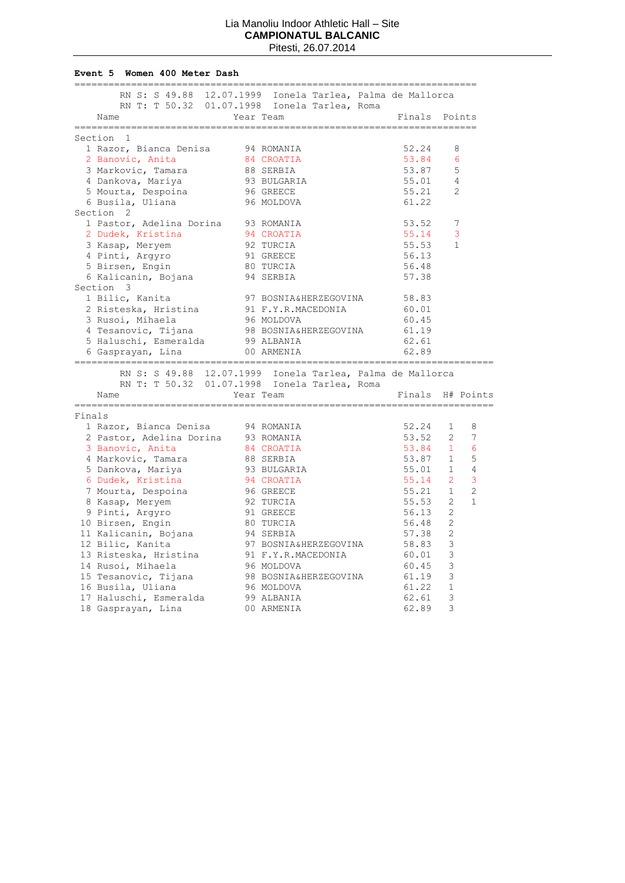#### **Event 5 Women 400 Meter Dash**

|        | ==============                                                                                   |           |                                                  |  | ______________________________________ |                |                |
|--------|--------------------------------------------------------------------------------------------------|-----------|--------------------------------------------------|--|----------------------------------------|----------------|----------------|
|        | RN S: S 49.88 12.07.1999 Ionela Tarlea, Palma de Mallorca                                        |           |                                                  |  |                                        |                |                |
|        | RN T: T 50.32 01.07.1998 Ionela Tarlea, Roma                                                     |           |                                                  |  |                                        |                |                |
|        | Name                                                                                             | Year Team |                                                  |  | Finals Points                          |                |                |
|        |                                                                                                  |           |                                                  |  |                                        |                |                |
|        | Section 1                                                                                        |           |                                                  |  |                                        |                |                |
|        | 1 Razor, Bianca Denisa 94 ROMANIA                                                                |           |                                                  |  | 52.24                                  | 8              |                |
|        | 2 Banovic, Anita                                                                                 |           | 84 CROATIA                                       |  | 53.84                                  | 6              |                |
|        | 3 Markovic, Tamara                                                                               |           | 88 SERBIA<br>93 BULGARIA<br>96 GREECE            |  | 53.87                                  | 5              |                |
|        |                                                                                                  |           |                                                  |  | 55.01                                  | 4              |                |
|        | 4 Dankova, Mariya<br>5 Mourta, Despoina                                                          |           |                                                  |  | 55.21                                  | 2              |                |
|        | 6 Busila, Uliana                                                                                 |           | 96 MOLDOVA                                       |  | 61.22                                  |                |                |
|        | Section 2                                                                                        |           |                                                  |  |                                        |                |                |
|        | 1 Pastor, Adelina Dorina 93 ROMANIA                                                              |           |                                                  |  | 53.52                                  | 7              |                |
|        | 2 Dudek, Kristina                                                                                |           | 94 CROATIA                                       |  | 55.14                                  | 3              |                |
|        | 3 Kasap, Meryem                                                                                  |           |                                                  |  | 55.53                                  | 1              |                |
|        | 4 Pinti, Argyro                                                                                  |           | 92 TURCIA<br>92 TURCIA<br>91 GREECE<br>80 TURCIA |  | 56.13                                  |                |                |
|        | 5 Birsen, Engin                                                                                  |           |                                                  |  | 56.48                                  |                |                |
|        | 6 Kalicanin, Bojana 194 SERBIA                                                                   |           |                                                  |  | 57.38                                  |                |                |
|        | Section 3                                                                                        |           |                                                  |  |                                        |                |                |
|        | 1 Bilic, Kanita                                                                                  |           | 97 BOSNIA&HERZEGOVINA 58.83                      |  |                                        |                |                |
|        | 2 Risteska, Hristina                                                                             |           | 91 F.Y.R.MACEDONIA                               |  | 60.01                                  |                |                |
|        | 3 Rusoi, Mihaela                                                                                 |           |                                                  |  | 60.45                                  |                |                |
|        | 4 Tesanovic, Tijana                                                                              |           | 96 MOLDOVA<br>98 BOSNIA&HERZEGOVINA              |  | 61.19                                  |                |                |
|        | 5 Haluschi, Esmeralda 99 ALBANIA                                                                 |           |                                                  |  | 62.61                                  |                |                |
|        | 6 Gasprayan, Lina                                                                                |           | 00 ARMENIA                                       |  | 62.89                                  |                |                |
|        |                                                                                                  |           |                                                  |  |                                        |                |                |
|        | RN S: S 49.88 12.07.1999 Ionela Tarlea, Palma de Mallorca                                        |           |                                                  |  |                                        |                |                |
|        | RN T: T 50.32 01.07.1998 Ionela Tarlea, Roma                                                     |           |                                                  |  |                                        |                |                |
|        | Name                                                                                             | Year Team |                                                  |  | Finals H# Points                       |                |                |
|        |                                                                                                  |           |                                                  |  |                                        |                |                |
| Finals |                                                                                                  |           |                                                  |  |                                        |                |                |
|        | 1 Razor, Bianca Denisa                                                                           |           | 94 ROMANIA                                       |  | 52.24                                  | $1 \quad$      | 8              |
|        | 2 Pastor, Adelina Dorina 93 ROMANIA                                                              |           |                                                  |  | 53.52 2                                |                | 7              |
|        | 3 Banovic, Anita                                                                                 |           | 84 CROATIA                                       |  | 53.84 1                                |                | 6              |
|        | 4 Markovic, Tamara                                                                               |           |                                                  |  | 53.87 1                                |                | 5              |
|        | 5 Dankova, Mariya                                                                                |           | 88 SERBIA<br>93 BULGARIA<br>94 CROATIA           |  | 55.01 1                                |                | $\overline{4}$ |
|        | 6 Dudek, Kristina                                                                                |           |                                                  |  | 55.14                                  | 2              | 3              |
|        |                                                                                                  |           | 96 GREECE                                        |  | 55.21                                  | $\mathbf{1}$   | $\overline{2}$ |
|        | 7 Mourta, Despoina                                                                               |           |                                                  |  |                                        | $\mathbf{2}$   | $\mathbf{1}$   |
|        | 8 Kasap, Meryem                                                                                  |           | 92 TURCIA                                        |  | 55.53                                  |                |                |
|        | 9 Pinti, Argyro                                                                                  |           | 91 GREECE                                        |  | 56.13                                  | 2              |                |
|        | 10 Birsen, Engin                                                                                 |           | 80 TURCIA                                        |  | 56.48                                  | $\overline{2}$ |                |
|        |                                                                                                  |           |                                                  |  | 57.38                                  | 2              |                |
|        | 10 Bilsen, might<br>11 Kalicanin, Bojana (94 SERBIA)<br>12 Bilic. Kanita (97 BOSNIA&HERZEGOVINA) |           |                                                  |  | 58.83                                  | 3              |                |
|        | 13 Risteska, Hristina                                                                            |           | 91 F.Y.R.MACEDONIA                               |  | 60.01                                  | 3              |                |
|        | 14 Rusoi, Mihaela                                                                                |           | 96 MOLDOVA                                       |  | 60.45                                  | 3              |                |
|        | 15 Tesanovic, Tijana                                                                             |           | 98 BOSNIA&HERZEGOVINA                            |  | 61.19                                  | 3              |                |
|        | 16 Busila, Uliana                                                                                |           | 96 MOLDOVA                                       |  | 61.22                                  | $\mathbf{1}$   |                |
|        | 17 Haluschi, Esmeralda 99 ALBANIA                                                                |           |                                                  |  | 62.61                                  | 3              |                |
|        | 18 Gasprayan, Lina                                                                               |           | 00 ARMENIA                                       |  | 62.89                                  | 3              |                |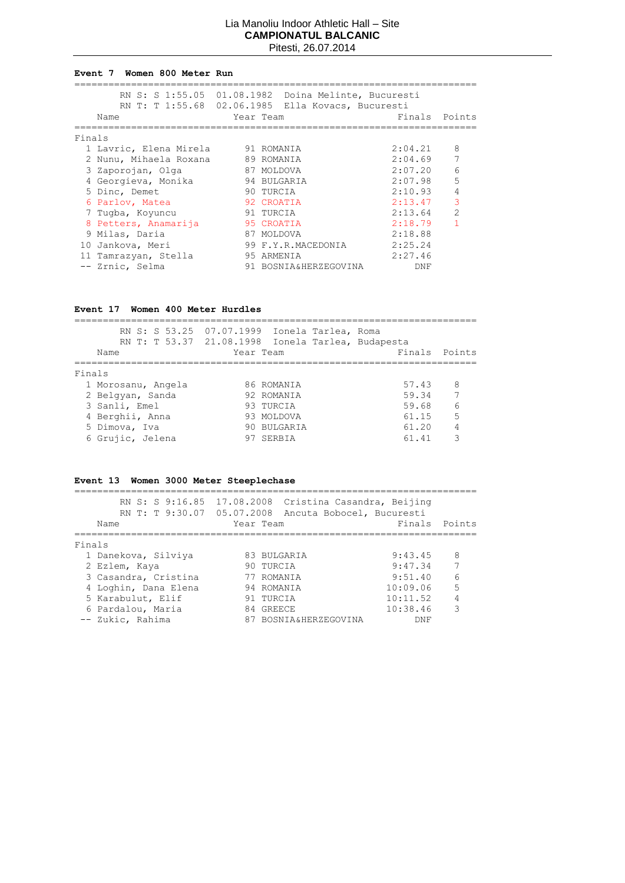#### **Event 7 Women 800 Meter Run**

|        |                        |            | RN S: S 1:55.05 01.08.1982 Doina Melinte, Bucuresti<br>RN T: T 1:55.68 02.06.1985 Ella Kovacs, Bucuresti |         |                |
|--------|------------------------|------------|----------------------------------------------------------------------------------------------------------|---------|----------------|
|        | Name                   | Year Team  |                                                                                                          | Finals  | Points         |
| Finals |                        |            |                                                                                                          |         |                |
|        | 1 Lavric, Elena Mirela | 91 ROMANIA |                                                                                                          | 2:04.21 | 8              |
|        | 2 Nunu, Mihaela Roxana |            | 89 ROMANIA                                                                                               | 2:04.69 | 7              |
|        | 3 Zaporojan, Olga      |            | 87 MOLDOVA                                                                                               | 2:07.20 | 6              |
|        | 4 Georgieva, Monika    |            | 94 BULGARIA                                                                                              | 2:07.98 | 5              |
|        | 5 Dinc, Demet          |            | 90 TURCIA                                                                                                | 2:10.93 | 4              |
|        | 6 Parlov, Matea        |            | 92 CROATIA                                                                                               | 2:13.47 | 3              |
|        | 7 Tugba, Koyuncu       |            | 91 TURCIA                                                                                                | 2:13.64 | $\overline{2}$ |
|        | 8 Petters, Anamarija   |            | 95 CROATIA                                                                                               | 2:18.79 | 1              |
|        | 9 Milas, Daria         |            | 87 MOLDOVA                                                                                               | 2:18.88 |                |
|        | 10 Jankova, Meri       |            | 99 F.Y.R.MACEDONIA                                                                                       | 2:25.24 |                |
|        | 11 Tamrazyan, Stella   |            | 95 ARMENIA                                                                                               | 2:27.46 |                |
|        | -- Zrnic, Selma        |            | 91 BOSNIA&HERZEGOVINA                                                                                    | DNF     |                |

## **Event 17 Women 400 Meter Hurdles**

|                    | RN S: S 53.25 07.07.1999 Ionela Tarlea, Roma      |               |                |
|--------------------|---------------------------------------------------|---------------|----------------|
|                    | RN T: T 53.37 21.08.1998 Ionela Tarlea, Budapesta |               |                |
| Name               | Year Team                                         | Finals Points |                |
|                    |                                                   |               |                |
| Finals             |                                                   |               |                |
| 1 Morosanu, Angela | 86 ROMANIA                                        | 57.43 8       |                |
| 2 Belgyan, Sanda   | 92 ROMANIA                                        | 59.34         | $\overline{7}$ |
| 3 Sanli, Emel      | 93 TURCIA                                         | 59.68         | - 6            |
| 4 Berghii, Anna    | 93 MOLDOVA                                        | 61.15         | 5              |
| 5 Dimova, Iva      | 90 BULGARIA                                       | 61.20         | $\overline{4}$ |
| 6 Grujic, Jelena   | 97 SERBIA                                         | 61.41         | २              |
|                    |                                                   |               |                |

# **Event 13 Women 3000 Meter Steeplechase**

|        | RN S: S 9:16.85 17.08.2008<br>RN T: T 9:30.07 05.07.2008<br>Name | Cristina Casandra, Beijing<br>Ancuta Bobocel, Bucuresti<br>Year Team | Finals   | Points |
|--------|------------------------------------------------------------------|----------------------------------------------------------------------|----------|--------|
| Finals |                                                                  |                                                                      |          |        |
|        |                                                                  |                                                                      |          |        |
|        | 1 Danekova, Silviya                                              | 83 BULGARIA                                                          | 9:43.45  | 8      |
|        | 2 Ezlem, Kaya                                                    | 90 TURCIA                                                            | 9:47.34  | 7      |
|        | 3 Casandra, Cristina                                             | 77 ROMANIA                                                           | 9:51.40  | 6      |
|        | 4 Loghin, Dana Elena                                             | 94 ROMANIA                                                           | 10:09.06 | 5      |
|        | 5 Karabulut, Elif                                                | 91 TURCIA                                                            | 10:11.52 | 4      |
|        | 6 Pardalou, Maria                                                | 84 GREECE                                                            | 10:38.46 | 3      |
|        | -- Zukic, Rahima                                                 | 87 BOSNIA&HERZEGOVINA                                                | DNF      |        |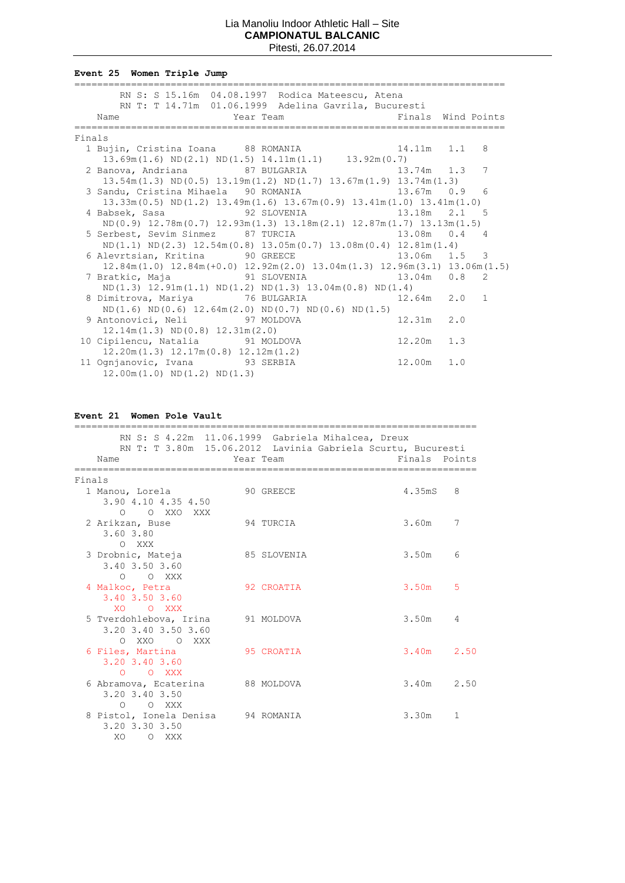**Event 25 Women Triple Jump**

|        | RN S: S 15.16m 04.08.1997 Rodica Mateescu, Atena<br>RN T: T 14.71m 01.06.1999 Adelina Gavrila, Bucuresti |                |   |
|--------|----------------------------------------------------------------------------------------------------------|----------------|---|
|        | Year Team New York Pinals Wind Points<br>Name                                                            |                |   |
| Finals |                                                                                                          |                |   |
|        |                                                                                                          |                |   |
|        | 1 Bujin, Cristina Ioana 88 ROMANIA 14.11m 1.1 8<br>13.69m(1.6) ND(2.1) ND(1.5) 14.11m(1.1) 13.92m(0.7)   |                |   |
|        | 2 Banova, Andriana and 87 BULGARIA 13.74m 1.3                                                            |                | 7 |
|        | $13.54$ m $(1.3)$ ND $(0.5)$ $13.19$ m $(1.2)$ ND $(1.7)$ $13.67$ m $(1.9)$ $13.74$ m $(1.3)$            |                |   |
|        | 3 Sandu, Cristina Mihaela 90 ROMANIA 13.67m 0.9 6                                                        |                |   |
|        | $13.33m(0.5)$ ND $(1.2)$ $13.49m(1.6)$ $13.67m(0.9)$ $13.41m(1.0)$ $13.41m(1.0)$                         |                |   |
|        | 4 Babsek, Sasa               92 SLOVENIA               13.18m   2.1   5                                  |                |   |
|        | $ND(0.9)$ 12.78m $(0.7)$ 12.93m $(1.3)$ 13.18m $(2.1)$ 12.87m $(1.7)$ 13.13m $(1.5)$                     |                |   |
|        | 5 Serbest, Sevim Sinmez 87 TURCIA 13.08m 0.4 4                                                           |                |   |
|        | $ND(1.1) ND(2.3) 12.54m(0.8) 13.05m(0.7) 13.08m(0.4) 12.81m(1.4)$                                        |                |   |
|        | 6 Alevrtsian, Kritina and 90 GREECE and 13.06m 1.5 3                                                     |                |   |
|        | $12.84m(1.0)$ $12.84m(+0.0)$ $12.92m(2.0)$ $13.04m(1.3)$ $12.96m(3.1)$ $13.06m(1.5)$                     |                |   |
|        | 7 Bratkic, Maja               91 SLOVENIA                   13.04m   0.8   2                             |                |   |
|        | $ND(1.3)$ 12.91m $(1.1)$ ND $(1.2)$ ND $(1.3)$ 13.04m $(0.8)$ ND $(1.4)$                                 |                |   |
|        | 8 Dimitrova, Mariya $76$ BULGARIA $12.64$ m $2.0$ 1                                                      |                |   |
|        | $ND(1.6) ND(0.6) 12.64m(2.0) ND(0.7) ND(0.6) ND(1.5)$                                                    |                |   |
|        | 9 Antonovici, Neli 97 MOLDOVA                                                                            | $12.31m$ $2.0$ |   |
|        | $12.14m(1.3) \quad \text{ND}(0.8) \quad 12.31m(2.0)$                                                     |                |   |
|        | 12.20m 1.3<br>10 Cipilencu, Natalia 91 MOLDOVA                                                           |                |   |
|        | $12.20$ m $(1.3)$ $12.17$ m $(0.8)$ $12.12$ m $(1.2)$                                                    |                |   |
|        | 11 Ognjanovic, Ivana 93 SERBIA                                                                           | $12.00m$ $1.0$ |   |
|        | $12.00m(1.0) \quad \text{ND}(1.2) \quad \text{ND}(1.3)$                                                  |                |   |

**Event 21 Women Pole Vault**

|        |                                     |           | RN S: S 4.22m 11.06.1999 Gabriela Mihalcea, Dreux           |               |              |
|--------|-------------------------------------|-----------|-------------------------------------------------------------|---------------|--------------|
|        |                                     |           | RN T: T 3.80m 15.06.2012 Lavinia Gabriela Scurtu, Bucuresti |               |              |
|        | Name                                | Year Team |                                                             | Finals Points |              |
|        |                                     |           |                                                             |               |              |
| Finals |                                     |           |                                                             |               |              |
|        | 1 Manou, Lorela                     |           | 90 GREECE                                                   | 4.35mS        | 8            |
|        | 3.90 4.10 4.35 4.50                 |           |                                                             |               |              |
|        | O O XXO XXX                         |           |                                                             |               |              |
|        | 2 Arikzan, Buse                     |           | 94 TURCIA                                                   | 3.60m         | 7            |
|        | 3.60 3.80                           |           |                                                             |               |              |
|        | O XXX                               |           |                                                             | 3.50m         |              |
|        | 3 Drobnic, Mateja<br>3.40 3.50 3.60 |           | 85 SLOVENIA                                                 |               | 6            |
|        | $O$ $O$ XXX                         |           |                                                             |               |              |
|        | 4 Malkoc, Petra                     |           | 92 CROATIA                                                  | 3.50m         | 5            |
|        | $3.40$ $3.50$ $3.60$                |           |                                                             |               |              |
|        | XO OXXX                             |           |                                                             |               |              |
|        | 5 Tverdohlebova, Irina 91 MOLDOVA   |           |                                                             | 3.50m         | 4            |
|        | 3.20 3.40 3.50 3.60                 |           |                                                             |               |              |
|        | O XXO O XXX                         |           |                                                             |               |              |
|        | 6 Files, Martina                    |           | 95 CROATIA                                                  | $3.40m$ 2.50  |              |
|        | $3.20$ $3.40$ $3.60$                |           |                                                             |               |              |
|        | $O$ $O$ XXX                         |           |                                                             |               |              |
|        | 6 Abramova, Ecaterina 88 MOLDOVA    |           |                                                             | $3.40m$ 2.50  |              |
|        | 3.20 3.40 3.50                      |           |                                                             |               |              |
|        | O O XXX                             |           |                                                             |               |              |
|        | 8 Pistol, Ionela Denisa 94 ROMANIA  |           |                                                             | 3.30m         | $\mathbf{1}$ |
|        | 3.20 3.30 3.50                      |           |                                                             |               |              |
|        | XO<br>O XXX                         |           |                                                             |               |              |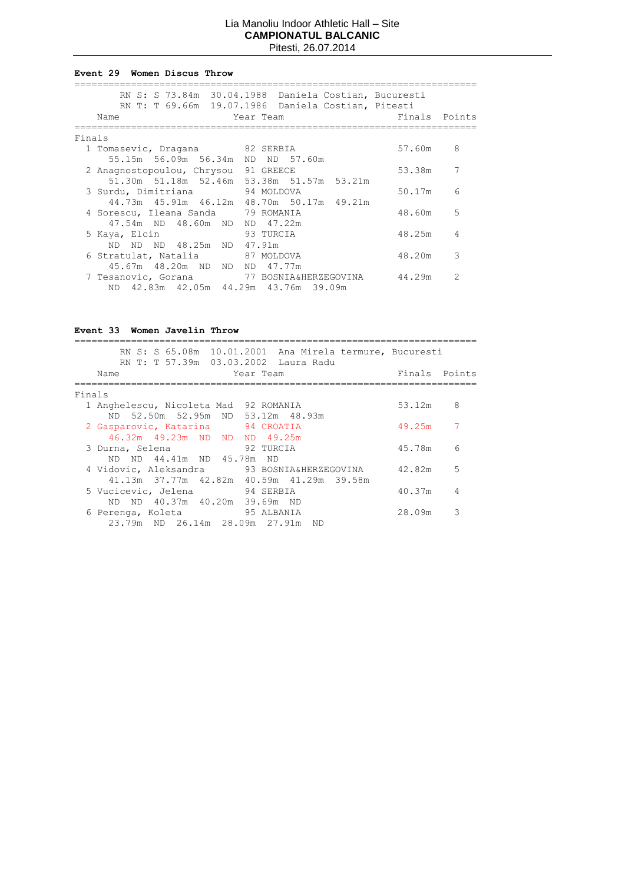#### **Event 29 Women Discus Throw**

|        | RN S: S 73.84m 30.04.1988 Daniela Costian, Bucuresti<br>RN T: T 69.66m 19.07.1986 Daniela Costian, Pitesti |           |               |               |
|--------|------------------------------------------------------------------------------------------------------------|-----------|---------------|---------------|
|        | Name                                                                                                       | Year Team | Finals Points |               |
| Finals |                                                                                                            |           |               |               |
|        | 1 Tomasevic, Dragana 82 SERBIA                                                                             |           | 57.60m        | 8             |
|        | 55.15m 56.09m 56.34m ND ND 57.60m                                                                          |           |               |               |
|        | 2 Anagnostopoulou, Chrysou 91 GREECE                                                                       |           | 53.38m        | 7             |
|        | 51.30m 51.18m 52.46m 53.38m 51.57m 53.21m                                                                  |           |               |               |
|        | 3 Surdu, Dimitriana 94 MOLDOVA<br>44.73m 45.91m 46.12m 48.70m 50.17m 49.21m                                |           | 50.17m        | 6             |
|        | 4 Sorescu, Ileana Sanda 79 ROMANIA                                                                         |           | 48.60m        | 5             |
|        | 47.54m ND 48.60m ND ND 47.22m                                                                              |           |               |               |
|        | 5 Kaya, Elcin                                                                                              | 93 TURCIA | 48.25m        | 4             |
|        | ND ND ND 48.25m ND 47.91m                                                                                  |           |               |               |
|        | 6 Stratulat, Natalia 67 MOLDOVA                                                                            |           | 48.20m        | 3             |
|        | 45.67m 48.20m ND ND ND 47.77m                                                                              |           |               |               |
|        | 7 Tesanovic, Gorana 77 BOSNIA&HERZEGOVINA                                                                  |           | 44.29m        | $\mathcal{P}$ |
|        | ND 42.83m 42.05m 44.29m 43.76m 39.09m                                                                      |           |               |               |

# **Event 33 Women Javelin Throw**

| RN S: S 65.08m 10.01.2001 Ana Mirela termure, Bucuresti<br>RN T: T 57.39m 03.03.2002 Laura Radu |               |                |
|-------------------------------------------------------------------------------------------------|---------------|----------------|
| Name<br>Year Team                                                                               | Finals Points |                |
| Finals                                                                                          |               |                |
| 1 Anghelescu, Nicoleta Mad 92 ROMANIA                                                           | 53.12m 8      |                |
| ND 52.50m 52.95m ND 53.12m 48.93m                                                               |               |                |
| 2 Gasparovic, Katarina 94 CROATIA                                                               | 49.25m        | $\overline{7}$ |
| 46.32m 49.23m ND ND ND 49.25m                                                                   |               |                |
| 92 TURCIA<br>3 Durna, Selena                                                                    | 45.78m        | 6              |
| ND ND 44.41m ND 45.78m<br>ND.                                                                   |               |                |
| 4 Vidovic, Aleksandra         93 BOSNIA&HERZEGOVINA                                             | 42.82m 5      |                |
| 41.13m 37.77m 42.82m 40.59m 41.29m 39.58m                                                       | 40.37m        | 4              |
| 5 Vucicevic, Jelena<br>94 SERBIA<br>ND ND 40.37m 40.20m 39.69m ND                               |               |                |
| 6 Perenga, Koleta 6 95 ALBANIA                                                                  | 28.09m        | 3              |
| 23.79m ND 26.14m 28.09m 27.91m ND                                                               |               |                |
|                                                                                                 |               |                |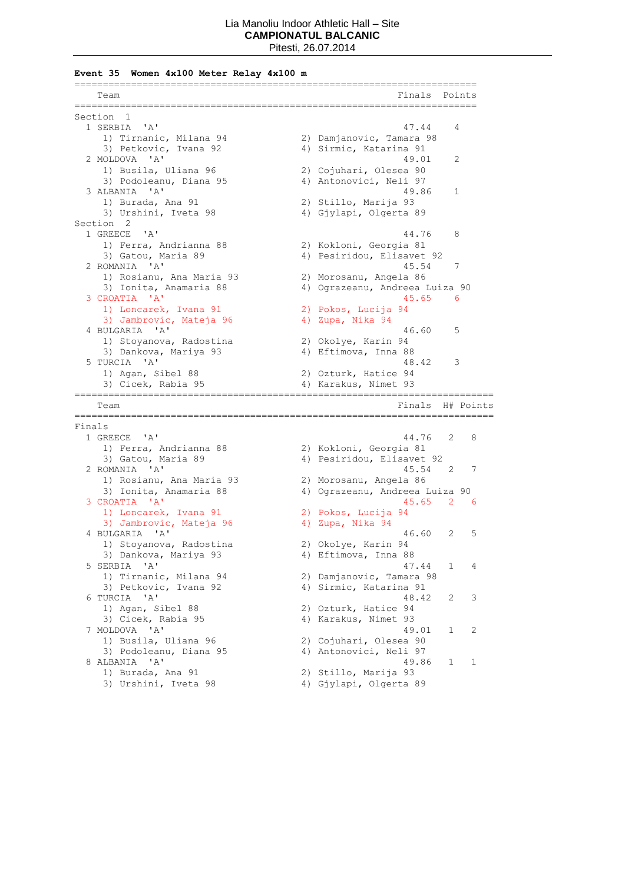**Event 35 Women 4x100 Meter Relay 4x100 m**

|        | =================================<br>Team | ====================<br>Finals | Points |           |
|--------|-------------------------------------------|--------------------------------|--------|-----------|
|        | ---------<br>Section<br>1                 |                                |        |           |
|        | ' A'<br>1 SERBIA                          | 47.44                          | 4      |           |
|        | 1) Tirnanic, Milana 94                    | 2) Damjanovic, Tamara 98       |        |           |
|        | 3) Petkovic, Ivana 92                     | 4) Sirmic, Katarina 91         |        |           |
|        | 2 MOLDOVA<br>$^{\prime}$ A $^{\prime}$    | 49.01                          | 2      |           |
|        | 1) Busila, Uliana 96                      | 2) Cojuhari, Olesea 90         |        |           |
|        | 3) Podoleanu, Diana 95                    | 4) Antonovici, Neli 97         |        |           |
|        | 3 ALBANIA<br>$^{\prime}$ A $^{\prime}$    | 49.86                          | 1      |           |
|        | 1) Burada, Ana 91                         | 2) Stillo, Marija 93           |        |           |
|        | 3) Urshini, Iveta 98                      | 4) Gjylapi, Olgerta 89         |        |           |
|        | Section 2                                 |                                |        |           |
|        | 1 GREECE<br>' A'                          | 44.76                          | 8      |           |
|        | 1) Ferra, Andrianna 88                    | 2) Kokloni, Georgia 81         |        |           |
|        | 3) Gatou, Maria 89                        | 4) Pesiridou, Elisavet 92      |        |           |
|        | $^{\prime}$ A $^{\prime}$<br>2 ROMANIA    | 45.54                          | 7      |           |
|        | 1) Rosianu, Ana Maria 93                  | 2) Morosanu, Angela 86         |        |           |
|        | 3) Ionita, Anamaria 88                    | 4) Ograzeanu, Andreea Luiza 90 |        |           |
|        | 3 CROATIA 'A'                             | 45.65                          | 6      |           |
|        | 1) Loncarek, Ivana 91                     | 2) Pokos, Lucija 94            |        |           |
|        | 3) Jambrovic, Mateja 96                   | 4) Zupa, Nika 94               |        |           |
|        | 4 BULGARIA 'A'                            | 46.60                          | 5      |           |
|        | 1) Stoyanova, Radostina                   | 2) Okolye, Karin 94            |        |           |
|        | 3) Dankova, Mariya 93                     | 4) Eftimova, Inna 88           |        |           |
|        | 5 TURCIA 'A'                              | 48.42                          | 3      |           |
|        | 1) Agan, Sibel 88                         | 2) Ozturk, Hatice 94           |        |           |
|        | 3) Cicek, Rabia 95                        | 4) Karakus, Nimet 93           |        |           |
|        | Team                                      | Finals                         |        | H# Points |
| Finals | --------------                            |                                |        |           |
|        | 1 GREECE 'A'                              | 44.76                          | 2      | 8         |
|        | 1) Ferra, Andrianna 88                    | 2) Kokloni, Georgia 81         |        |           |
|        | 3) Gatou, Maria 89                        | 4) Pesiridou, Elisavet 92      |        |           |
|        | 2 ROMANIA 'A'                             | 45.54                          | 2      | 7         |
|        | 1) Rosianu, Ana Maria 93                  | 2) Morosanu, Angela 86         |        |           |
|        | 3) Ionita, Anamaria 88                    | 4) Ograzeanu, Andreea Luiza 90 |        |           |
|        | 3 CROATIA 'A'                             | 45.65                          | 2      | - 6       |
|        | 1) Loncarek, Ivana 91                     | 2) Pokos, Lucija 94            |        |           |
|        | 3) Jambrovic, Mateja 96                   | 4) Zupa, Nika 94               |        |           |
|        | 4 BULGARIA<br>'A'                         | 46.60                          | 2      | 5         |
|        | 1) Stoyanova, Radostina                   | 2) Okolye, Karin 94            |        |           |
|        | 3) Dankova, Mariya 93                     | 4) Eftimova, Inna 88           |        |           |
|        | 5 SERBIA<br>'A'                           | 47.44                          | 1      | 4         |
|        | 1) Tirnanic, Milana 94                    | 2) Damjanovic, Tamara 98       |        |           |
|        | 3) Petkovic, Ivana 92                     | 4) Sirmic, Katarina 91         |        |           |
|        | 6 TURCIA 'A'                              | 48.42                          | 2      | 3         |
|        | 1) Agan, Sibel 88                         | 2) Ozturk, Hatice 94           |        |           |
|        | 3) Cicek, Rabia 95                        | 4) Karakus, Nimet 93           |        |           |
|        | 7 MOLDOVA<br>. 'A'                        | 49.01                          | 1      | 2         |
|        | 1) Busila, Uliana 96                      | 2) Cojuhari, Olesea 90         |        |           |
|        | 3) Podoleanu, Diana 95                    | 4) Antonovici, Neli 97         |        |           |
|        | $\mathsf{A}$<br>8 ALBANIA                 | 49.86                          | 1      | 1         |
|        | 1) Burada, Ana 91                         | 2) Stillo, Marija 93           |        |           |
|        | 3) Urshini, Iveta 98                      | 4) Gjylapi, Olgerta 89         |        |           |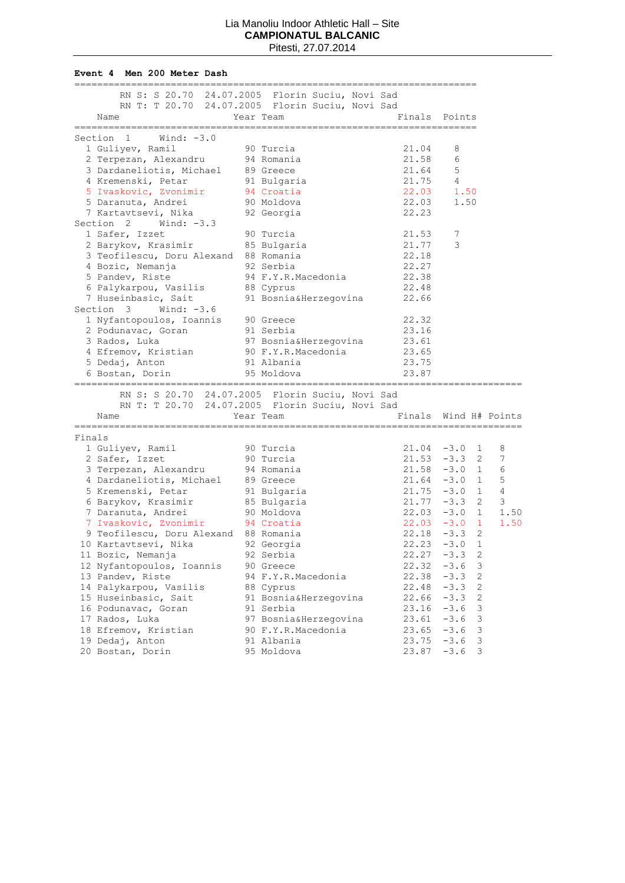**Event 4 Men 200 Meter Dash**

|        | RN S: S 20.70 24.07.2005 Florin Suciu, Novi Sad |                                    |                                       |                                      |
|--------|-------------------------------------------------|------------------------------------|---------------------------------------|--------------------------------------|
|        | RN T: T 20.70 24.07.2005 Florin Suciu, Novi Sad |                                    |                                       |                                      |
|        | Name<br>------------------                      | Year Team<br>--------------------- | Finals Points<br>-------------------- |                                      |
|        | Wind: $-3.0$<br>Section 1                       |                                    |                                       |                                      |
|        | 1 Guliyev, Ramil                                | 90 Turcia                          | 21.04                                 | 8                                    |
|        | 2 Terpezan, Alexandru                           | 94 Romania                         | 21.58                                 | 6                                    |
|        | 3 Dardaneliotis, Michael                        | 89 Greece                          | 21.64                                 | 5                                    |
|        | 4 Kremenski, Petar                              | 91 Bulgaria                        | 21.75                                 | 4                                    |
|        | 5 Ivaskovic, Zvonimir                           | 94 Croatia                         | 22.03                                 | 1.50                                 |
|        | 5 Daranuta, Andrei                              | 90 Moldova                         | 22.03                                 | 1.50                                 |
|        | 7 Kartavtsevi, Nika                             | 92 Georgia                         | 22.23                                 |                                      |
|        | Section 2 Wind: -3.3                            |                                    |                                       |                                      |
|        | 1 Safer, Izzet                                  | 90 Turcia                          | 21.53                                 | 7                                    |
|        | 2 Barykov, Krasimir                             | 85 Bulgaria                        | 21.77                                 | 3                                    |
|        | 3 Teofilescu, Doru Alexand 88 Romania           |                                    | 22.18                                 |                                      |
|        | 4 Bozic, Nemanja                                | 92 Serbia                          | 22.27                                 |                                      |
|        | 5 Pandev, Riste                                 | 94 F.Y.R.Macedonia                 | 22.38                                 |                                      |
|        | 6 Palykarpou, Vasilis                           | 88 Cyprus                          | 22.48                                 |                                      |
|        | 7 Huseinbasic, Sait                             | 91 Bosnia&Herzegovina              | 22.66                                 |                                      |
|        | Section 3<br>Wind: $-3.6$                       |                                    |                                       |                                      |
|        |                                                 |                                    | 22.32                                 |                                      |
|        | 1 Nyfantopoulos, Ioannis 90 Greece              | 91 Serbia                          | 23.16                                 |                                      |
|        | 2 Podunavac, Goran<br>3 Rados, Luka             |                                    | 23.61                                 |                                      |
|        |                                                 | 97 Bosnia&Herzegovina              |                                       |                                      |
|        | 4 Efremov, Kristian                             | 90 F.Y.R.Macedonia                 | 23.65                                 |                                      |
|        | 5 Dedaj, Anton                                  | 91 Albania                         | 23.75                                 |                                      |
|        | 6 Bostan, Dorin                                 | 95 Moldova                         | 23.87                                 |                                      |
|        | RN S: S 20.70 24.07.2005 Florin Suciu, Novi Sad |                                    |                                       |                                      |
|        | RN T: T 20.70 24.07.2005 Florin Suciu, Novi Sad |                                    |                                       |                                      |
|        | Name                                            | Year Team                          | Finals                                | Wind H# Points                       |
| Finals | ---------------------                           | -----------------                  |                                       | ____________________________________ |
|        | 1 Guliyev, Ramil                                | 90 Turcia                          |                                       | $21.04 -3.0$<br>1<br>8               |
|        | 2 Safer, Izzet                                  | 90 Turcia                          |                                       | 7<br>$21.53 -3.3$<br>2               |
|        | 3 Terpezan, Alexandru                           | 94 Romania                         |                                       | $21.58 - 3.0 1$<br>6                 |
|        | 4 Dardaneliotis, Michael                        | 89 Greece                          |                                       | 5<br>$21.64 - 3.0 1$                 |
|        | 5 Kremenski, Petar                              | 91 Bulgaria                        |                                       | 4<br>$21.75 -3.0 1$                  |
|        | 6 Barykov, Krasimir                             | 85 Bulgaria                        |                                       | 3<br>$\overline{2}$<br>$21.77 - 3.3$ |
|        | 7 Daranuta, Andrei                              | 90 Moldova                         |                                       | $\mathbf{1}$<br>$22.03 -3.0$<br>1.50 |
|        | 7 Ivaskovic, Zvonimir                           | 94 Croatia                         |                                       | $22.03 -3.0$<br>1<br>1.50            |
|        | 9 Teofilescu, Doru Alexand 88 Romania           |                                    |                                       | 2<br>$22.18 - 3.3$                   |
|        | 10 Kartavtsevi, Nika                            |                                    |                                       | $\mathbf{1}$                         |
|        |                                                 | 92 Georgia                         | 22.23<br>22.27                        | $-3.0$<br>$\sqrt{2}$                 |
|        | 11 Bozic, Nemanja                               | 92 Serbia                          |                                       | $-3.3$                               |
|        | 12 Nyfantopoulos, Ioannis                       | 90 Greece                          | 22.32                                 | $-3.6$<br>3                          |
|        | 13 Pandev, Riste                                | 94 F.Y.R.Macedonia                 | 22.38                                 | $-3.3$<br>2                          |
|        | 14 Palykarpou, Vasilis                          | 88 Cyprus                          | 22.48                                 | $-3.3$<br>$\mathbf{2}$               |
|        | 15 Huseinbasic, Sait                            | 91 Bosnia&Herzegovina              | 22.66                                 | $\mathbf{2}$<br>$-3.3$               |
|        | 16 Podunavac, Goran                             | 91 Serbia                          | 23.16                                 | 3<br>$-3.6$                          |
|        | 17 Rados, Luka                                  | 97 Bosnia&Herzegovina              | 23.61                                 | 3<br>$-3.6$                          |
|        | 18 Efremov, Kristian                            | 90 F.Y.R.Macedonia                 | 23.65                                 | $-3.6$<br>3                          |
|        | 19 Dedaj, Anton                                 | 91 Albania                         | 23.75                                 | 3<br>$-3.6$                          |
|        | 20 Bostan, Dorin                                | 95 Moldova                         | 23.87                                 | 3<br>$-3.6$                          |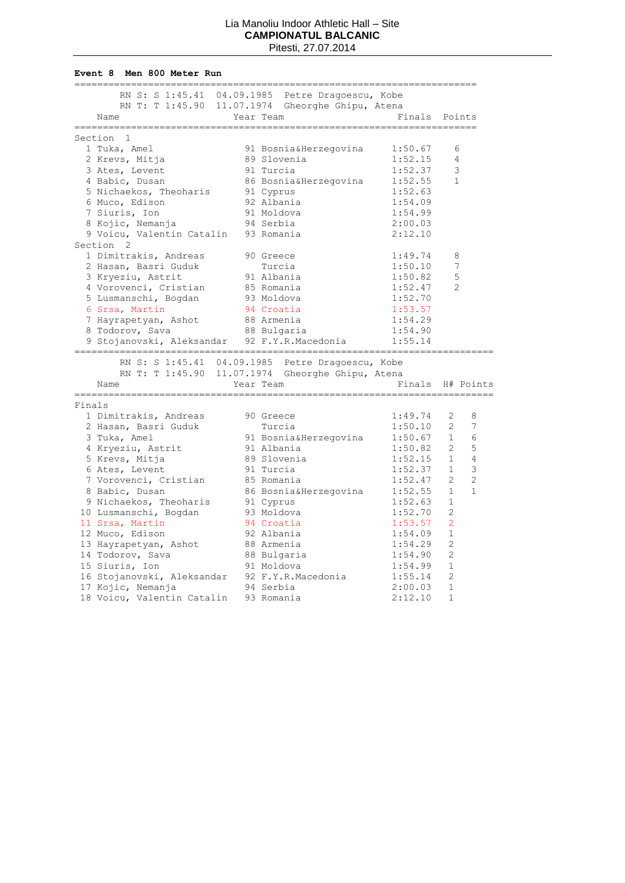#### **Event 8 Men 800 Meter Run**

|        |                                              | ============ |                                                                                                                   | ------------ |                                  |
|--------|----------------------------------------------|--------------|-------------------------------------------------------------------------------------------------------------------|--------------|----------------------------------|
|        |                                              |              | RN S: S 1:45.41 04.09.1985 Petre Dragoescu, Kobe                                                                  |              |                                  |
|        |                                              |              | RN T: T 1:45.90 11.07.1974 Gheorghe Ghipu, Atena                                                                  |              |                                  |
|        | Name                                         |              | Year Team                                                                                                         |              | Finals Points                    |
|        |                                              |              |                                                                                                                   |              |                                  |
|        | Section 1<br>1 Tuka, Amel                    |              | 91 Bosnia&Herzegovina                                                                                             | 1:50.67      | 6                                |
|        | 2 Krevs, Mitja                               |              | 89 Slovenia                                                                                                       | 1:52.15      | 4                                |
|        | 3 Ates, Levent                               |              | 91 Turcia                                                                                                         | 1:52.37      | 3                                |
|        | 4 Babic, Dusan                               |              |                                                                                                                   | 1:52.55      | $\mathbf{1}$                     |
|        | 5 Nichaekos, Theoharis                       |              | 86 Bosnia&Herzegovina<br>91 Cyprus                                                                                | 1:52.63      |                                  |
|        | 6 Muco, Edison                               |              | 92 Albania                                                                                                        | 1:54.09      |                                  |
|        | 7 Siuris, Ion                                |              | 91 Moldova                                                                                                        | 1:54.99      |                                  |
|        | 8 Kojic, Nemanja                             |              | 94 Serbia                                                                                                         | 2:00.03      |                                  |
|        | 9 Voicu, Valentin Catalin                    |              | 93 Romania                                                                                                        | 2:12.10      |                                  |
|        | Section <sub>2</sub>                         |              |                                                                                                                   |              |                                  |
|        | 1 Dimitrakis, Andreas                        |              | 90 Greece                                                                                                         | 1:49.74      | 8                                |
|        | 2 Hasan, Basri Guduk                         |              | Turcia                                                                                                            | 1:50.10      | 7                                |
|        | 3 Kryeziu, Astrit                            |              | 91 Albania                                                                                                        | 1:50.82      | 5                                |
|        | 4 Vorovenci, Cristian                        |              | 85 Romania                                                                                                        | 1:52.47      | $\overline{2}$                   |
|        | 5 Lusmanschi, Bogdan                         |              | 93 Moldova                                                                                                        | 1:52.70      |                                  |
|        | 6 Srsa, Martin                               |              | 94 Croatia                                                                                                        | 1:53.57      |                                  |
|        | 7 Hayrapetyan, Ashot                         |              | 88 Armenia                                                                                                        | 1:54.29      |                                  |
|        | 8 Todorov, Sava                              |              | 88 Bulgaria                                                                                                       | 1:54.90      |                                  |
|        | 9 Stojanovski, Aleksandar 92 F.Y.R.Macedonia |              |                                                                                                                   | 1:55.14      |                                  |
|        | Name                                         |              | RN S: S 1:45.41 04.09.1985 Petre Dragoescu, Kobe<br>RN T: T 1:45.90 11.07.1974 Gheorghe Ghipu, Atena<br>Year Team |              | Finals H# Points                 |
| Finals |                                              |              |                                                                                                                   |              |                                  |
|        | 1 Dimitrakis, Andreas                        |              | 90 Greece                                                                                                         | 1:49.74      | 2<br>8                           |
|        | 2 Hasan, Basri Guduk                         |              | Turcia                                                                                                            | 1:50.10      | $\overline{2}$<br>7              |
|        | 3 Tuka, Amel                                 |              | 91 Bosnia&Herzegovina                                                                                             | 1:50.67      | 1<br>6                           |
|        | 4 Kryeziu, Astrit                            |              | 91 Albania                                                                                                        | 1:50.82      | 5<br>$\overline{2}$              |
|        | 5 Krevs, Mitja                               |              | 89 Slovenia                                                                                                       | 1:52.15      | 1<br>4                           |
|        | 6 Ates, Levent                               |              | 91 Turcia                                                                                                         | 1:52.37      | 1<br>3                           |
|        | 7 Vorovenci, Cristian                        |              | 85 Romania                                                                                                        | 1:52.47      | $\overline{2}$<br>$\overline{2}$ |
|        | 8 Babic, Dusan                               |              | 86 Bosnia&Herzegovina                                                                                             | 1:52.55      | $\mathbf{1}$<br>$\mathbf{1}$     |
|        | 9 Nichaekos, Theoharis                       |              | 91 Cyprus                                                                                                         | 1:52.63      | $\mathbf{1}$                     |
|        | 10 Lusmanschi, Bogdan                        |              | 93 Moldova                                                                                                        | 1:52.70      | 2                                |
|        | 11 Srsa, Martin                              |              | 94 Croatia                                                                                                        | 1:53.57      | 2                                |
|        | 12 Muco, Edison                              |              | 92 Albania                                                                                                        | 1:54.09      | 1                                |
|        | 13 Hayrapetyan, Ashot                        |              | 88 Armenia                                                                                                        | 1:54.29      | 2                                |
|        | 14 Todorov, Sava                             |              | 88 Bulgaria                                                                                                       | 1:54.90      | 2                                |
|        | 15 Siuris, Ion                               |              | 91 Moldova                                                                                                        | 1:54.99      | 1                                |
|        | 16 Stojanovski, Aleksandar                   |              | 92 F.Y.R.Macedonia                                                                                                | 1:55.14      | 2                                |
|        |                                              |              | 94 Serbia                                                                                                         | 2:00.03      | $\mathbf{1}$                     |
|        | 17 Kojic, Nemanja                            |              |                                                                                                                   |              |                                  |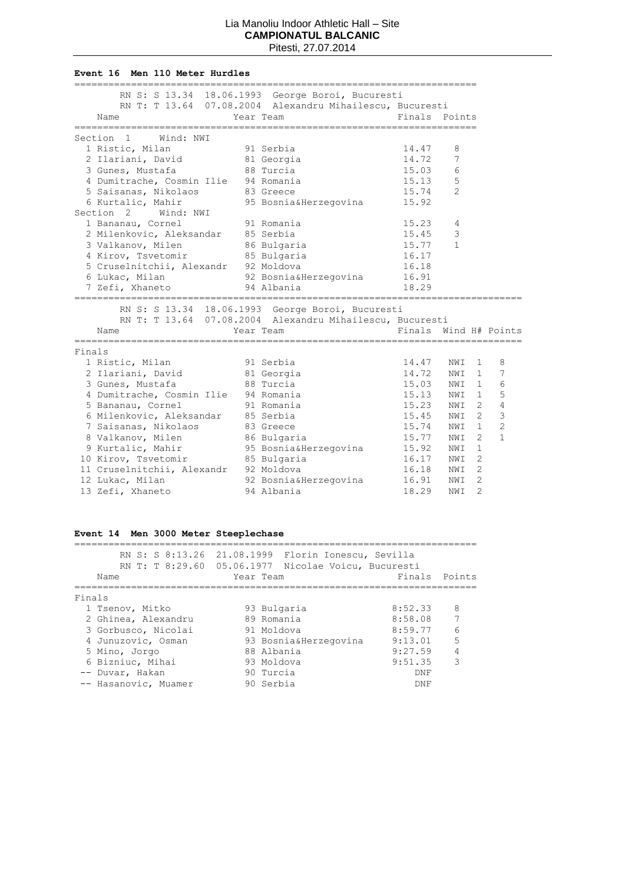#### **Event 16 Men 110 Meter Hurdles**

|        |                                                                                                                            | RN S: S 13.34 18.06.1993 George Boroi, Bucuresti         |               |                       |                    |
|--------|----------------------------------------------------------------------------------------------------------------------------|----------------------------------------------------------|---------------|-----------------------|--------------------|
|        |                                                                                                                            | RN T: T 13.64 07.08.2004 Alexandru Mihailescu, Bucuresti |               |                       |                    |
|        | Name                                                                                                                       | Year Team                                                | Finals Points |                       |                    |
|        | Section 1 Wind: NWI                                                                                                        |                                                          |               |                       |                    |
|        | 91 Serbia<br>1 Ristic, Milan                                                                                               |                                                          | 14.47         | 8                     |                    |
|        | 2 Ilariani, David 81 Georgia                                                                                               |                                                          | 14.72         | 7                     |                    |
|        | 3 Gunes, Mustafa                                                                                                           | 88 Turcia                                                | 15.03         | 6                     |                    |
|        | 4 Dumitrache, Cosmin Ilie 94 Romania                                                                                       |                                                          | 15.13         | 5                     |                    |
|        | 5 Saisanas, Nikolaos                                                                                                       | 83 Greece                                                | 15.74         | $\overline{2}$        |                    |
|        | 6 Kurtalic, Mahir 95 Bosnia&Herzegovina 15.92                                                                              |                                                          |               |                       |                    |
|        | Section 2 Wind: NWI                                                                                                        |                                                          |               |                       |                    |
|        | 1 Bananau, Cornel                                                                                                          | 91 Romania                                               | 15.23         | 4                     |                    |
|        | 1 Bahahau, Cornei<br>2 Milenkovic, Aleksandar 85 Serbia<br>3 Valkanov, Milen 86 Bulgaria<br>4 Kirov, Tsvetomir 85 Bulgaria |                                                          | 15.45         | 3                     |                    |
|        |                                                                                                                            |                                                          | 15.77         | $\mathbf{1}$          |                    |
|        |                                                                                                                            |                                                          | 16.17         |                       |                    |
|        | 5 Cruselnitchii, Alexandr 92 Moldova                                                                                       |                                                          | 16.18         |                       |                    |
|        | 6 Lukac, Milan (92 Bosnia&Herzegovina 16.91                                                                                |                                                          |               |                       |                    |
|        | 7 Zefi, Xhaneto 54 Albania                                                                                                 |                                                          | 18.29         |                       |                    |
|        |                                                                                                                            |                                                          |               |                       |                    |
|        |                                                                                                                            | RN S: S 13.34 18.06.1993 George Boroi, Bucuresti         |               |                       |                    |
|        |                                                                                                                            | RN T: T 13.64 07.08.2004 Alexandru Mihailescu, Bucuresti |               |                       |                    |
|        | Name                                                                                                                       | Year Team                                                |               | Finals Wind H# Points |                    |
| Finals |                                                                                                                            |                                                          |               |                       |                    |
|        | 1 Ristic, Milan                                                                                                            | 91 Serbia                                                |               | 14.47 NWI 1           | 8                  |
|        | 2 Ilariani, David                                                                                                          |                                                          | 14.72 NWI     |                       | 7<br>$1 -$         |
|        | 3 Gunes, Mustafa                                                                                                           | 81 Georgia<br>88 Turcia                                  | 15.03 NWI     |                       | $\frac{1}{2}$<br>6 |
|        | 4 Dumitrache, Cosmin Ilie 94 Romania                                                                                       |                                                          | 15.13 NWI     | $\mathbf{1}$          | 5                  |
|        | 5 Bananau, Cornel                                                                                                          | 1114<br>91 Romania                                       | 15.23 NWI     | $\overline{2}$        | $\overline{4}$     |
|        | 6 Milenkovic, Aleksandar 85 Serbia                                                                                         |                                                          | 15.45 NWI     | $\overline{2}$        | 3                  |
|        | 7 Saisanas, Nikolaos                                                                                                       | 83 Greece                                                | 15.74 NWI     | $\mathbf{1}$          | $\overline{c}$     |
|        | 8 Valkanov, Milen 86 Bulgaria                                                                                              |                                                          | 15.77 NWI     | $\overline{2}$        | $\mathbf{1}$       |
|        | 9 Kurtalic, Mahir 95 Bosnia&Herzegovina 15.92 NWI                                                                          |                                                          |               | 1                     |                    |
|        | 10 Kirov, Tsvetomir 85 Bulgaria                                                                                            |                                                          | 16.17 NWI     | $\overline{c}$        |                    |
|        | 11 Cruselnitchii, Alexandr 92 Moldova                                                                                      |                                                          | 16.18 NWI     | $\overline{2}$        |                    |
|        | 12 Lukac, Milan                                                                                                            | 92 Bosnia&Herzegovina                                    | 16.91         | $\overline{2}$<br>NWI |                    |
|        | 13 Zefi, Xhaneto                                                                                                           | 94 Albania                                               | 18.29         | $\overline{2}$<br>NWI |                    |

# **Event 14 Men 3000 Meter Steeplechase**

| RN S: S 8:13.26 21.08.1999 | Florin Ionescu, Sevilla                             |               |   |
|----------------------------|-----------------------------------------------------|---------------|---|
|                            | RN T: T 8:29.60 05.06.1977 Nicolae Voicu, Bucuresti |               |   |
| Name                       | Year Team                                           | Finals Points |   |
| Finals                     |                                                     |               |   |
| 1 Tsenov, Mitko            | 93 Bulgaria                                         | 8:52.33       | 8 |
| 2 Ghinea, Alexandru        | 89 Romania                                          | 8:58.08       | 7 |
| 3 Gorbusco, Nicolai        | 91 Moldova                                          | 8:59.77       | 6 |
| 4 Junuzovic, Osman         | 93 Bosnia&Herzegovina                               | 9:13.01       | 5 |
| 5 Mino, Jorgo              | 88 Albania                                          | 9:27.59       | 4 |
| 6 Bizniuc, Mihai           | 93 Moldova                                          | 9:51.35       | 3 |
| -- Duvar, Hakan            | 90 Turcia                                           | <b>DNF</b>    |   |
| -- Hasanovic, Muamer       | 90 Serbia                                           | <b>DNF</b>    |   |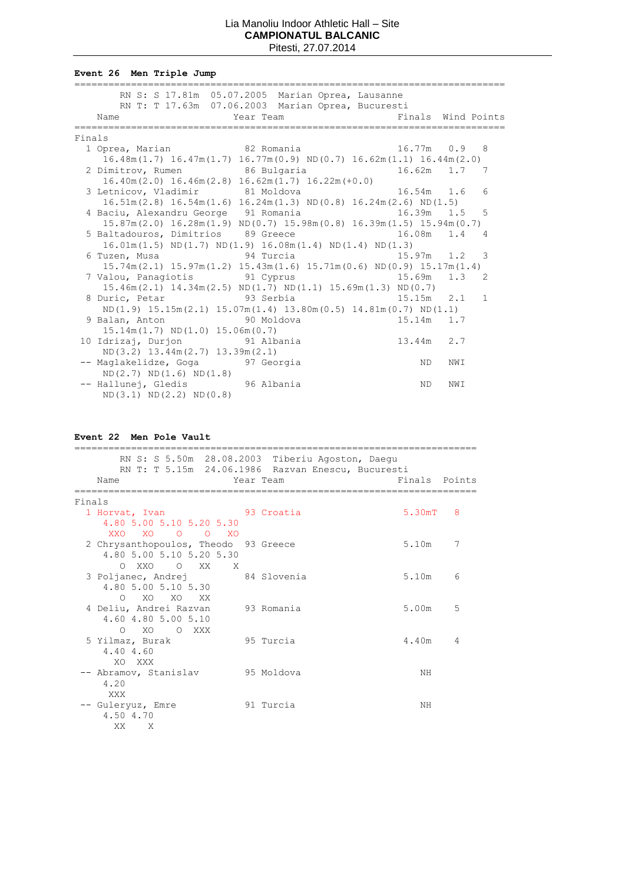**Event 26 Men Triple Jump**

|        | RN S: S 17.81m 05.07.2005 Marian Oprea, Lausanne                                          |                          |     |   |
|--------|-------------------------------------------------------------------------------------------|--------------------------|-----|---|
|        | RN T: T 17.63m 07.06.2003 Marian Oprea, Bucuresti                                         |                          |     |   |
|        | Year Team New York Pinals Wind Points<br>Name                                             |                          |     |   |
|        |                                                                                           | ------------------------ |     |   |
| Finals |                                                                                           |                          |     |   |
|        | 1 Oprea, Marian 82 Romania 16.77m 0.9 8                                                   |                          |     |   |
|        | $16.48m(1.7)$ $16.47m(1.7)$ $16.77m(0.9)$ $ND(0.7)$ $16.62m(1.1)$ $16.44m(2.0)$           |                          |     |   |
|        | 2 Dimitrov, Rumen 86 Bulgaria 16.62m 1.7 7                                                |                          |     |   |
|        | $16.40m(2.0)$ $16.46m(2.8)$ $16.62m(1.7)$ $16.22m(+0.0)$                                  |                          |     |   |
|        | 3 Letnicov, Vladimir 81 Moldova 16.54m 1.6 6                                              |                          |     |   |
|        | $16.51m(2.8)$ $16.54m(1.6)$ $16.24m(1.3)$ ND(0.8) $16.24m(2.6)$ ND(1.5)                   |                          |     |   |
|        | 4 Baciu, Alexandru George 91 Romania 16.39m 1.5 5                                         |                          |     |   |
|        | $15.87m(2.0)$ $16.28m(1.9)$ $ND(0.7)$ $15.98m(0.8)$ $16.39m(1.5)$ $15.94m(0.7)$           |                          |     |   |
|        | 5 Baltadouros, Dimitrios 89 Greece 16.08m 1.4 4                                           |                          |     |   |
|        | $16.01m(1.5) \text{ ND}(1.7) \text{ ND}(1.9) 16.08m(1.4) \text{ ND}(1.4) \text{ ND}(1.3)$ |                          |     |   |
|        | 6 Tuzen, Musa                     94 Turcia                     15.97m   1.2     3        |                          |     |   |
|        | $15.74m(2.1)$ $15.97m(1.2)$ $15.43m(1.6)$ $15.71m(0.6)$ $ND(0.9)$ $15.17m(1.4)$           |                          |     |   |
|        | 7 Valou, Panagiotis 91 Cyprus 15.69m 1.3 2                                                |                          |     |   |
|        | $15.46m(2.1)$ $14.34m(2.5)$ ND $(1.7)$ ND $(1.1)$ $15.69m(1.3)$ ND $(0.7)$                |                          |     |   |
|        | 8 Duric, Petar                 93 Serbia                   15.15m   2.1                   |                          |     | 1 |
|        | $ND(1.9)$ $15.15m(2.1)$ $15.07m(1.4)$ $13.80m(0.5)$ $14.81m(0.7)$ $ND(1.1)$               |                          |     |   |
|        | 9 Balan, Anton 50 Moldova                                                                 | $15.14m$ 1.7             |     |   |
|        | $15.14m(1.7) \quad \text{ND}(1.0) \quad 15.06m(0.7)$                                      |                          |     |   |
|        | $13.44m$ 2.7<br>10 Idrizaj, Durjon 51 Albania                                             |                          |     |   |
|        | $ND(3.2)$ 13.44m $(2.7)$ 13.39m $(2.1)$                                                   |                          |     |   |
|        | -- Maglakelidze, Goga 97 Georgia                                                          | ND                       | NWI |   |
|        | ND(2.7) ND(1.6) ND(1.8)                                                                   |                          |     |   |
|        | -- Hallunej, Gledis 96 Albania                                                            | ND .                     | NWI |   |
|        | ND(3.1) ND(2.2) ND(0.8)                                                                   |                          |     |   |

# **Event 22 Men Pole Vault**

|                                      | RN S: S 5.50m 28.08.2003 Tiberiu Agoston, Daegu   |               |   |
|--------------------------------------|---------------------------------------------------|---------------|---|
|                                      | RN T: T 5.15m 24.06.1986 Razvan Enescu, Bucuresti |               |   |
| Name                                 | Year Team                                         | Finals Points |   |
| Finals                               |                                                   |               |   |
| 1 Horvat, Ivan 53 Croatia            |                                                   | 5.30mT 8      |   |
| 4.80 5.00 5.10 5.20 5.30             |                                                   |               |   |
| XXO XO O O XO                        |                                                   |               |   |
| 2 Chrysanthopoulos, Theodo 93 Greece |                                                   | 5.10m         | 7 |
| 4.80 5.00 5.10 5.20 5.30             |                                                   |               |   |
| OXXO OXX X                           |                                                   |               |   |
| 3 Poljanec, Andrej 84 Slovenia       |                                                   | 5.10m         | 6 |
| 4.80 5.00 5.10 5.30                  |                                                   |               |   |
| O XO XO XX                           |                                                   |               |   |
| 4 Deliu, Andrei Razvan               | 93 Romania                                        | 5.00m         | 5 |
| 4.60 4.80 5.00 5.10                  |                                                   |               |   |
| O XO O XXX                           |                                                   |               |   |
| 5 Yilmaz, Burak                      | 95 Turcia                                         | 4.40m         | 4 |
| 4.40 4.60                            |                                                   |               |   |
| XO XXX                               |                                                   |               |   |
| -- Abramov, Stanislav                | 95 Moldova                                        | NH            |   |
| 4.20                                 |                                                   |               |   |
| <b>XXX</b>                           |                                                   |               |   |
| -- Guleryuz, Emre                    | 91 Turcia                                         | NΗ            |   |
| 4.50 4.70                            |                                                   |               |   |
| XX.<br>X                             |                                                   |               |   |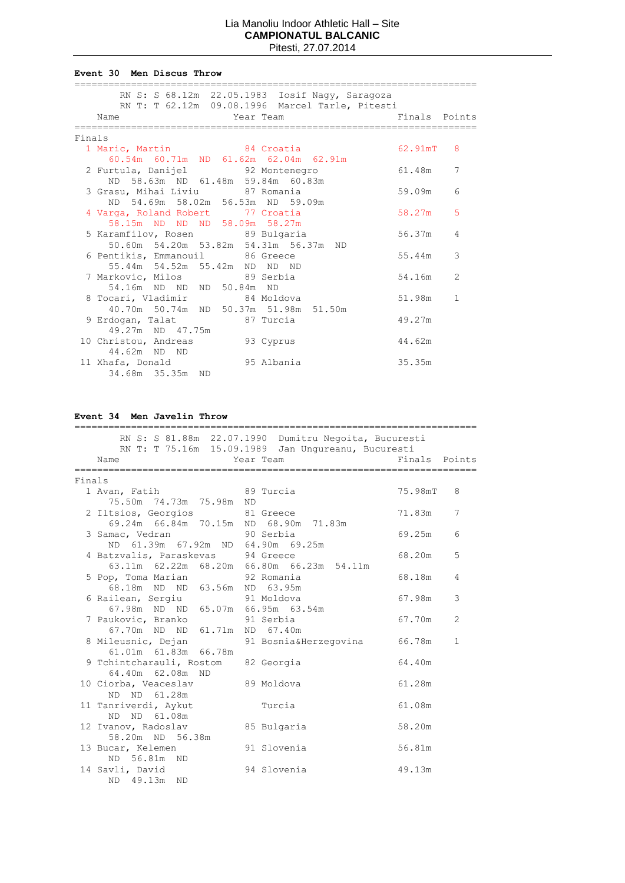#### **Event 30 Men Discus Throw**

|        | RN S: S 68.12m 22.05.1983 Iosif Nagy, Saragoza       |            |              |
|--------|------------------------------------------------------|------------|--------------|
|        | RN T: T 62.12m 09.08.1996 Marcel Tarle, Pitesti      |            |              |
|        | <b>Example 21 Year Team</b><br>Einals Points<br>Name |            |              |
|        |                                                      |            |              |
| Finals |                                                      |            |              |
|        | 1 Maric, Martin 84 Croatia                           | $62.91$ mT | 8            |
|        | 60.54m 60.71m ND 61.62m 62.04m 62.91m                |            |              |
|        | 2 Furtula, Danijel 32 Montenegro 61.48m              |            | 7            |
|        | ND 58.63m ND 61.48m 59.84m 60.83m                    |            |              |
|        | 3 Grasu, Mihai Liviu 87 Romania                      | 59.09m     | 6            |
|        | ND 54.69m 58.02m 56.53m ND 59.09m                    |            |              |
|        | 4 Varga, Roland Robert 77 Croatia                    | 58.27m     | 5            |
|        | 58.15m ND ND ND 58.09m 58.27m                        |            |              |
|        | 5 Karamfilov, Rosen 89 Bulgaria                      | 56.37m     | 4            |
|        | 50.60m 54.20m 53.82m 54.31m 56.37m ND                |            |              |
|        | 6 Pentikis, Emmanouil 86 Greece                      | 55.44m     | 3            |
|        | 55.44m 54.52m 55.42m ND ND ND                        |            |              |
|        | 7 Markovic, Milos 89 Serbia                          | 54.16m     | 2            |
|        | 54.16m ND ND ND 50.84m ND                            |            |              |
|        | 8 Tocari, Vladimir 84 Moldova                        | 51.98m     | $\mathbf{1}$ |
|        | 40.70m 50.74m ND 50.37m 51.98m 51.50m                |            |              |
|        | 9 Erdogan, Talat 87 Turcia                           | 49.27m     |              |
|        | 49.27m ND 47.75m                                     |            |              |
|        | 10 Christou, Andreas 93 Cyprus                       | 44.62m     |              |
|        | 44.62m ND ND                                         |            |              |
|        | 11 Xhafa, Donald 95 Albania                          | 35.35m     |              |
|        | 34.68m 35.35m ND                                     |            |              |

# **Event 34 Men Javelin Throw**

|        | RN S: S 81.88m 22.07.1990 Dumitru Negoita, Bucuresti<br>RN T: T 75.16m 15.09.1989 Jan Ungureanu, Bucuresti |  |             |               |                |
|--------|------------------------------------------------------------------------------------------------------------|--|-------------|---------------|----------------|
|        | Year Team<br>Name                                                                                          |  |             | Finals Points |                |
| Finals |                                                                                                            |  |             |               |                |
|        | 1 Avan, Fatih 89 Turcia                                                                                    |  |             | 75.98mT       | 8              |
|        | 75.50m  74.73m  75.98m  ND                                                                                 |  |             |               |                |
|        | 2 Iltsios, Georgios 81 Greece<br>69.24m 66.84m 70.15m ND 68.90m 71.83m                                     |  |             | 71.83m        | 7              |
|        | 3 Samac, Vedran 5 90 Serbia                                                                                |  |             | 69.25m        | 6              |
|        | ND 61.39m 67.92m ND 64.90m 69.25m                                                                          |  |             |               |                |
|        | 4 Batzvalis, Paraskevas 94 Greece                                                                          |  |             | 68.20m        | 5              |
|        | 63.11m 62.22m 68.20m 66.80m 66.23m 54.11m                                                                  |  |             | 68.18m        | 4              |
|        | 5 Pop, Toma Marian 92 Romania<br>68.18m ND ND 63.56m ND 63.95m                                             |  |             |               |                |
|        | 6 Railean, Sergiu             91 Moldova                                                                   |  |             | 67.98m        | 3              |
|        | 67.98m ND ND 65.07m 66.95m 63.54m                                                                          |  |             |               |                |
|        | 7 Paukovic, Branko                                                                                         |  | 91 Serbia   | 67.70m        | $\overline{c}$ |
|        | 67.70m ND ND 61.71m ND 67.40m<br>8 Mileusnic, Dejan           91 Bosnia&Herzegovina                        |  |             | 66.78m        | $\mathbf{1}$   |
|        | 61.01m  61.83m  66.78m                                                                                     |  |             |               |                |
|        | 9 Tchintcharauli, Rostom 82 Georgia                                                                        |  |             | 64.40m        |                |
|        | 64.40m 62.08m ND                                                                                           |  |             |               |                |
|        | 10 Ciorba, Veaceslav 89 Moldova<br>ND ND 61.28m                                                            |  |             | 61.28m        |                |
|        | 11 Tanriverdi, Aykut                                                                                       |  | Turcia      | 61.08m        |                |
|        | ND ND 61.08m                                                                                               |  |             |               |                |
|        | 12 Ivanov, Radoslav                                                                                        |  | 85 Bulgaria | 58.20m        |                |
|        | 58.20m ND 56.38m                                                                                           |  |             |               |                |
|        | 13 Bucar, Kelemen<br>ND 56.81m ND                                                                          |  | 91 Slovenia | 56.81m        |                |
|        | 14 Savli, David                                                                                            |  | 94 Slovenia | 49.13m        |                |
|        | 49.13m ND<br>ND -                                                                                          |  |             |               |                |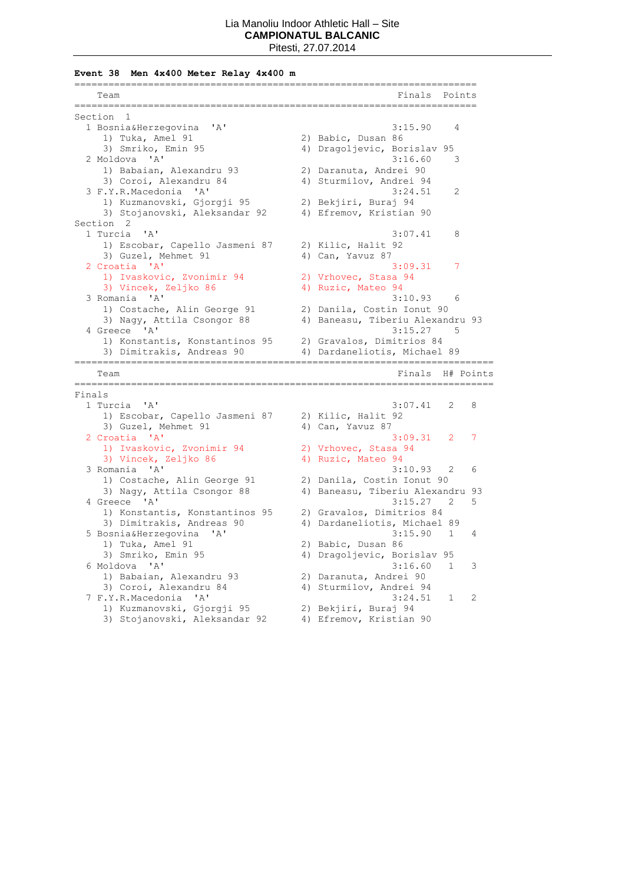**Event 38 Men 4x400 Meter Relay 4x400 m**

| Team                                              | ==========================<br>Finals<br>Points              |
|---------------------------------------------------|-------------------------------------------------------------|
|                                                   |                                                             |
| Section 1                                         |                                                             |
| 1 Bosnia&Herzegovina<br>' A '                     | 3:15.90<br>4                                                |
| 1) Tuka, Amel 91                                  | 2) Babic, Dusan 86                                          |
| 3) Smriko, Emin 95                                | 4) Dragoljevic, Borislav 95                                 |
| 2 Moldova 'A'                                     | 3:16.60<br>3                                                |
| 1) Babaian, Alexandru 93                          | 2) Daranuta, Andrei 90                                      |
| 3) Coroi, Alexandru 84                            | 4) Sturmilov, Andrei 94                                     |
| 3 F.Y.R.Macedonia 'A'                             | 2<br>3:24.51                                                |
| 1) Kuzmanovski, Gjorgji 95                        | 2) Bekjiri, Buraj 94                                        |
| 3) Stojanovski, Aleksandar 92                     | 4) Efremov, Kristian 90                                     |
| Section <sub>2</sub>                              |                                                             |
| 1 Turcia<br>$^{\prime}$ A $^{\prime}$             | 3:07.41<br>8                                                |
| 1) Escobar, Capello Jasmeni 87                    | 2) Kilic, Halit 92                                          |
| 3) Guzel, Mehmet 91                               | 4) Can, Yavuz 87                                            |
| 2 Croatia 'A'                                     | 7<br>3:09.31                                                |
| 1) Ivaskovic, Zvonimir 94                         | 2) Vrhovec, Stasa 94                                        |
| 3) Vincek, Zeljko 86                              | 4) Ruzic, Mateo 94                                          |
| 3 Romania 'A'                                     | 3:10.93<br>6                                                |
| 1) Costache, Alin George 91                       | 2) Danila, Costin Ionut 90                                  |
| 3) Nagy, Attila Csongor 88                        | 4) Baneasu, Tiberiu Alexandru 93                            |
| 4 Greece 'A'                                      | 3:15.27<br>-5                                               |
| 1) Konstantis, Konstantinos 95                    | 2) Gravalos, Dimitrios 84                                   |
| 3) Dimitrakis, Andreas 90                         | 4) Dardaneliotis, Michael 89                                |
| Team                                              | Finals H# Points                                            |
|                                                   |                                                             |
|                                                   | ----------------------                                      |
| Finals                                            |                                                             |
| 1 Turcia 'A'                                      | 3:07.41<br>2<br>8                                           |
| 1) Escobar, Capello Jasmeni 87                    | 2) Kilic, Halit 92                                          |
| 3) Guzel, Mehmet 91                               | 4) Can, Yavuz 87                                            |
| 2 Croatia 'A'                                     | 7<br>3:09.31<br>2                                           |
| 1) Ivaskovic, Zvonimir 94                         | 2) Vrhovec, Stasa 94                                        |
| 3) Vincek, Zeljko 86                              | 4) Ruzic, Mateo 94                                          |
| 3 Romania 'A'                                     | 3:10.93<br>2<br>6                                           |
| 1) Costache, Alin George 91                       | 2) Danila, Costin Ionut 90                                  |
| 3) Nagy, Attila Csongor 88                        | 4) Baneasu, Tiberiu Alexandru 93                            |
| 4 Greece 'A'                                      | 5<br>3:15.27<br>2                                           |
| 1) Konstantis, Konstantinos 95                    | 2) Gravalos, Dimitrios 84                                   |
| 3) Dimitrakis, Andreas 90                         | 4) Dardaneliotis, Michael 89                                |
| 5 Bosnia&Herzegovina<br>$^{\prime}$ A $^{\prime}$ | 3:15.90<br>$\mathbf{1}$<br>4                                |
| 1) Tuka, Amel 91                                  | 2) Babic, Dusan 86                                          |
| 3) Smriko, Emin 95                                |                                                             |
| 6 Moldova 'A'                                     | 4) Dragoljevic, Borislav 95<br>3:16.60<br>3<br>$\mathbf{1}$ |
| 1) Babaian, Alexandru 93                          |                                                             |
|                                                   | 2) Daranuta, Andrei 90<br>4) Sturmilov, Andrei 94           |
| 3) Coroi, Alexandru 84<br>7 F.Y.R.Macedonia 'A'   | 3:24.51<br>2<br>1                                           |
| 1) Kuzmanovski, Gjorgji 95                        | 2) Bekjiri, Buraj 94                                        |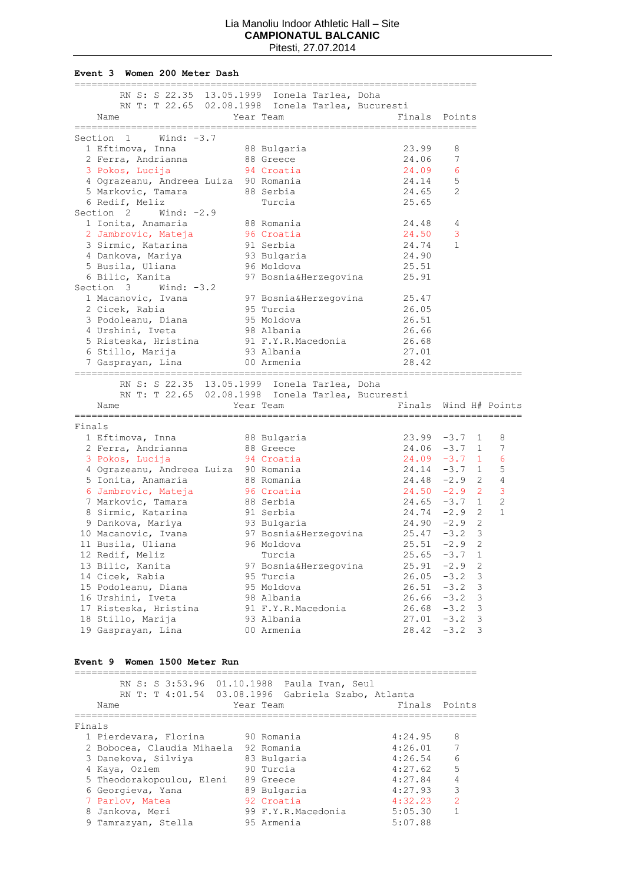#### **Event 3 Women 200 Meter Dash**

| RN S: S 22.35 13.05.1999 Ionela Tarlea, Doha<br>RN T: T 22.65 02.08.1998 Ionela Tarlea, Bucuresti<br>Year Team<br>Finals Points<br>Name<br>Section 1<br>Wind: $-3.7$<br>1 Eftimova, Inna<br>88 Bulgaria<br>23.99<br>8<br>2 Ferra, Andrianna<br>88 Greece<br>24.06<br>7<br>3 Pokos, Lucija<br>24.09<br>6<br>94 Croatia<br>5<br>4 Ograzeanu, Andreea Luiza 90 Romania<br>24.14<br>24.65<br>5 Markovic, Tamara<br>2<br>erbia de 1883. Serbia<br>6 Redif, Meliz<br>Turcia<br>25.65<br>Section 2 Wind: $-2.9$<br>88 Romania<br>1 Ionita, Anamaria<br>24.48<br>4<br>2 Jambrovic, Mateja<br>96 Croatia<br>3<br>24.50<br>24.74<br>3 Sirmic, Katarina<br>1<br>91 Serbia<br>93 Bulgaria<br>24.90<br>4 Dankova, Mariya<br>96 Moldova<br>25.51<br>5 Busila, Uliana<br>6 Bilic, Kanita<br>97 Bosnia&Herzegovina<br>25.91<br>Section 3 Wind: -3.2<br>1 Macanovic, Ivana 97 Bosnia&Herzegovina<br>25.47<br>95 Turcia<br>26.05<br>2 Cicek, Rabia<br>3 Podoleanu, Diana<br>95 Moldova<br>98 Albania<br>26.51<br>4 Urshini, Iveta<br>26.66<br>5 Risteska, Hristina<br>91 F.Y.R.Macedonia<br>26.68<br>6 Stillo, Marija<br>27.01<br>93 Albania<br>00 Armenia<br>28.42<br>7 Gasprayan, Lina<br>RN S: S 22.35 13.05.1999 Ionela Tarlea, Doha<br>RN T: T 22.65 02.08.1998 Ionela Tarlea, Bucuresti<br>Finals Wind H# Points<br>Year Team<br>Name<br>--------------------<br>Finals<br>88 Bulgaria<br>1 Eftimova, Inna<br>$23.99 - 3.7 1$<br>2 Ferra, Andrianna<br>$24.06 -3.7 1$<br>88 Greece<br>$24.09 - 3.7$ 1<br>3 Pokos, Lucija<br>94 Croatia<br>4 Ograzeanu, Andreea Luiza 90 Romania<br>$24.14 - 3.7$ 1<br>$24.48 - 2.9$ 2<br>5 Ionita, Anamaria<br>88 Romania<br>$24.50 -2.9$ 2<br>6 Jambrovic, Mateja<br>96 Croatia<br>$24.65 - 3.7 1$<br>7 Markovic, Tamara<br>8 Sirmic, Katarina<br>88 Serbia<br>$24.74 - 2.9$ 2<br>91 Serbia<br>93 Bulgaria<br>$24.90 -2.9$ 2<br>9 Dankova, Mariya<br>97 Bosnia&Herzegovina<br>96 Moldova<br>$25.47 - 3.2$ 3<br>10 Macanovic, Ivana<br>$25.51 -2.9$ 2<br>11 Busila, Uliana<br>12 Redif, Meliz<br>25.65<br>$-3.7$<br>Turcia<br>13 Bilic, Kanita<br>25.91<br>$-2.9$<br>97 Bosnia&Herzegovina<br>14 Cicek, Rabia<br>26.05<br>$-3.2$<br>95 Turcia<br>15 Podoleanu, Diana<br>95 Moldova<br>26.51<br>$-3.2$<br>$-3.2$<br>16 Urshini, Iveta<br>98 Albania<br>26.66<br>17 Risteska, Hristina<br>91 F.Y.R.Macedonia<br>$-3.2$<br>26.68<br>18 Stillo, Marija<br>93 Albania<br>$-3.2$<br>27.01<br>28.42<br>$-3.2$<br>19 Gasprayan, Lina<br>00 Armenia |  |  |  |  |   |
|----------------------------------------------------------------------------------------------------------------------------------------------------------------------------------------------------------------------------------------------------------------------------------------------------------------------------------------------------------------------------------------------------------------------------------------------------------------------------------------------------------------------------------------------------------------------------------------------------------------------------------------------------------------------------------------------------------------------------------------------------------------------------------------------------------------------------------------------------------------------------------------------------------------------------------------------------------------------------------------------------------------------------------------------------------------------------------------------------------------------------------------------------------------------------------------------------------------------------------------------------------------------------------------------------------------------------------------------------------------------------------------------------------------------------------------------------------------------------------------------------------------------------------------------------------------------------------------------------------------------------------------------------------------------------------------------------------------------------------------------------------------------------------------------------------------------------------------------------------------------------------------------------------------------------------------------------------------------------------------------------------------------------------------------------------------------------------------------------------------------------------------------------------------------------------------------------------------------------------------------------------------------------------------------------------------------------------------------------------------------------------------------------------------------------------------------------------------|--|--|--|--|---|
|                                                                                                                                                                                                                                                                                                                                                                                                                                                                                                                                                                                                                                                                                                                                                                                                                                                                                                                                                                                                                                                                                                                                                                                                                                                                                                                                                                                                                                                                                                                                                                                                                                                                                                                                                                                                                                                                                                                                                                                                                                                                                                                                                                                                                                                                                                                                                                                                                                                                |  |  |  |  |   |
|                                                                                                                                                                                                                                                                                                                                                                                                                                                                                                                                                                                                                                                                                                                                                                                                                                                                                                                                                                                                                                                                                                                                                                                                                                                                                                                                                                                                                                                                                                                                                                                                                                                                                                                                                                                                                                                                                                                                                                                                                                                                                                                                                                                                                                                                                                                                                                                                                                                                |  |  |  |  |   |
|                                                                                                                                                                                                                                                                                                                                                                                                                                                                                                                                                                                                                                                                                                                                                                                                                                                                                                                                                                                                                                                                                                                                                                                                                                                                                                                                                                                                                                                                                                                                                                                                                                                                                                                                                                                                                                                                                                                                                                                                                                                                                                                                                                                                                                                                                                                                                                                                                                                                |  |  |  |  |   |
|                                                                                                                                                                                                                                                                                                                                                                                                                                                                                                                                                                                                                                                                                                                                                                                                                                                                                                                                                                                                                                                                                                                                                                                                                                                                                                                                                                                                                                                                                                                                                                                                                                                                                                                                                                                                                                                                                                                                                                                                                                                                                                                                                                                                                                                                                                                                                                                                                                                                |  |  |  |  |   |
|                                                                                                                                                                                                                                                                                                                                                                                                                                                                                                                                                                                                                                                                                                                                                                                                                                                                                                                                                                                                                                                                                                                                                                                                                                                                                                                                                                                                                                                                                                                                                                                                                                                                                                                                                                                                                                                                                                                                                                                                                                                                                                                                                                                                                                                                                                                                                                                                                                                                |  |  |  |  |   |
|                                                                                                                                                                                                                                                                                                                                                                                                                                                                                                                                                                                                                                                                                                                                                                                                                                                                                                                                                                                                                                                                                                                                                                                                                                                                                                                                                                                                                                                                                                                                                                                                                                                                                                                                                                                                                                                                                                                                                                                                                                                                                                                                                                                                                                                                                                                                                                                                                                                                |  |  |  |  |   |
|                                                                                                                                                                                                                                                                                                                                                                                                                                                                                                                                                                                                                                                                                                                                                                                                                                                                                                                                                                                                                                                                                                                                                                                                                                                                                                                                                                                                                                                                                                                                                                                                                                                                                                                                                                                                                                                                                                                                                                                                                                                                                                                                                                                                                                                                                                                                                                                                                                                                |  |  |  |  |   |
|                                                                                                                                                                                                                                                                                                                                                                                                                                                                                                                                                                                                                                                                                                                                                                                                                                                                                                                                                                                                                                                                                                                                                                                                                                                                                                                                                                                                                                                                                                                                                                                                                                                                                                                                                                                                                                                                                                                                                                                                                                                                                                                                                                                                                                                                                                                                                                                                                                                                |  |  |  |  |   |
|                                                                                                                                                                                                                                                                                                                                                                                                                                                                                                                                                                                                                                                                                                                                                                                                                                                                                                                                                                                                                                                                                                                                                                                                                                                                                                                                                                                                                                                                                                                                                                                                                                                                                                                                                                                                                                                                                                                                                                                                                                                                                                                                                                                                                                                                                                                                                                                                                                                                |  |  |  |  |   |
|                                                                                                                                                                                                                                                                                                                                                                                                                                                                                                                                                                                                                                                                                                                                                                                                                                                                                                                                                                                                                                                                                                                                                                                                                                                                                                                                                                                                                                                                                                                                                                                                                                                                                                                                                                                                                                                                                                                                                                                                                                                                                                                                                                                                                                                                                                                                                                                                                                                                |  |  |  |  |   |
|                                                                                                                                                                                                                                                                                                                                                                                                                                                                                                                                                                                                                                                                                                                                                                                                                                                                                                                                                                                                                                                                                                                                                                                                                                                                                                                                                                                                                                                                                                                                                                                                                                                                                                                                                                                                                                                                                                                                                                                                                                                                                                                                                                                                                                                                                                                                                                                                                                                                |  |  |  |  |   |
|                                                                                                                                                                                                                                                                                                                                                                                                                                                                                                                                                                                                                                                                                                                                                                                                                                                                                                                                                                                                                                                                                                                                                                                                                                                                                                                                                                                                                                                                                                                                                                                                                                                                                                                                                                                                                                                                                                                                                                                                                                                                                                                                                                                                                                                                                                                                                                                                                                                                |  |  |  |  |   |
|                                                                                                                                                                                                                                                                                                                                                                                                                                                                                                                                                                                                                                                                                                                                                                                                                                                                                                                                                                                                                                                                                                                                                                                                                                                                                                                                                                                                                                                                                                                                                                                                                                                                                                                                                                                                                                                                                                                                                                                                                                                                                                                                                                                                                                                                                                                                                                                                                                                                |  |  |  |  |   |
|                                                                                                                                                                                                                                                                                                                                                                                                                                                                                                                                                                                                                                                                                                                                                                                                                                                                                                                                                                                                                                                                                                                                                                                                                                                                                                                                                                                                                                                                                                                                                                                                                                                                                                                                                                                                                                                                                                                                                                                                                                                                                                                                                                                                                                                                                                                                                                                                                                                                |  |  |  |  |   |
|                                                                                                                                                                                                                                                                                                                                                                                                                                                                                                                                                                                                                                                                                                                                                                                                                                                                                                                                                                                                                                                                                                                                                                                                                                                                                                                                                                                                                                                                                                                                                                                                                                                                                                                                                                                                                                                                                                                                                                                                                                                                                                                                                                                                                                                                                                                                                                                                                                                                |  |  |  |  |   |
|                                                                                                                                                                                                                                                                                                                                                                                                                                                                                                                                                                                                                                                                                                                                                                                                                                                                                                                                                                                                                                                                                                                                                                                                                                                                                                                                                                                                                                                                                                                                                                                                                                                                                                                                                                                                                                                                                                                                                                                                                                                                                                                                                                                                                                                                                                                                                                                                                                                                |  |  |  |  |   |
|                                                                                                                                                                                                                                                                                                                                                                                                                                                                                                                                                                                                                                                                                                                                                                                                                                                                                                                                                                                                                                                                                                                                                                                                                                                                                                                                                                                                                                                                                                                                                                                                                                                                                                                                                                                                                                                                                                                                                                                                                                                                                                                                                                                                                                                                                                                                                                                                                                                                |  |  |  |  |   |
|                                                                                                                                                                                                                                                                                                                                                                                                                                                                                                                                                                                                                                                                                                                                                                                                                                                                                                                                                                                                                                                                                                                                                                                                                                                                                                                                                                                                                                                                                                                                                                                                                                                                                                                                                                                                                                                                                                                                                                                                                                                                                                                                                                                                                                                                                                                                                                                                                                                                |  |  |  |  |   |
|                                                                                                                                                                                                                                                                                                                                                                                                                                                                                                                                                                                                                                                                                                                                                                                                                                                                                                                                                                                                                                                                                                                                                                                                                                                                                                                                                                                                                                                                                                                                                                                                                                                                                                                                                                                                                                                                                                                                                                                                                                                                                                                                                                                                                                                                                                                                                                                                                                                                |  |  |  |  |   |
|                                                                                                                                                                                                                                                                                                                                                                                                                                                                                                                                                                                                                                                                                                                                                                                                                                                                                                                                                                                                                                                                                                                                                                                                                                                                                                                                                                                                                                                                                                                                                                                                                                                                                                                                                                                                                                                                                                                                                                                                                                                                                                                                                                                                                                                                                                                                                                                                                                                                |  |  |  |  |   |
|                                                                                                                                                                                                                                                                                                                                                                                                                                                                                                                                                                                                                                                                                                                                                                                                                                                                                                                                                                                                                                                                                                                                                                                                                                                                                                                                                                                                                                                                                                                                                                                                                                                                                                                                                                                                                                                                                                                                                                                                                                                                                                                                                                                                                                                                                                                                                                                                                                                                |  |  |  |  |   |
|                                                                                                                                                                                                                                                                                                                                                                                                                                                                                                                                                                                                                                                                                                                                                                                                                                                                                                                                                                                                                                                                                                                                                                                                                                                                                                                                                                                                                                                                                                                                                                                                                                                                                                                                                                                                                                                                                                                                                                                                                                                                                                                                                                                                                                                                                                                                                                                                                                                                |  |  |  |  |   |
|                                                                                                                                                                                                                                                                                                                                                                                                                                                                                                                                                                                                                                                                                                                                                                                                                                                                                                                                                                                                                                                                                                                                                                                                                                                                                                                                                                                                                                                                                                                                                                                                                                                                                                                                                                                                                                                                                                                                                                                                                                                                                                                                                                                                                                                                                                                                                                                                                                                                |  |  |  |  |   |
|                                                                                                                                                                                                                                                                                                                                                                                                                                                                                                                                                                                                                                                                                                                                                                                                                                                                                                                                                                                                                                                                                                                                                                                                                                                                                                                                                                                                                                                                                                                                                                                                                                                                                                                                                                                                                                                                                                                                                                                                                                                                                                                                                                                                                                                                                                                                                                                                                                                                |  |  |  |  |   |
|                                                                                                                                                                                                                                                                                                                                                                                                                                                                                                                                                                                                                                                                                                                                                                                                                                                                                                                                                                                                                                                                                                                                                                                                                                                                                                                                                                                                                                                                                                                                                                                                                                                                                                                                                                                                                                                                                                                                                                                                                                                                                                                                                                                                                                                                                                                                                                                                                                                                |  |  |  |  |   |
|                                                                                                                                                                                                                                                                                                                                                                                                                                                                                                                                                                                                                                                                                                                                                                                                                                                                                                                                                                                                                                                                                                                                                                                                                                                                                                                                                                                                                                                                                                                                                                                                                                                                                                                                                                                                                                                                                                                                                                                                                                                                                                                                                                                                                                                                                                                                                                                                                                                                |  |  |  |  |   |
|                                                                                                                                                                                                                                                                                                                                                                                                                                                                                                                                                                                                                                                                                                                                                                                                                                                                                                                                                                                                                                                                                                                                                                                                                                                                                                                                                                                                                                                                                                                                                                                                                                                                                                                                                                                                                                                                                                                                                                                                                                                                                                                                                                                                                                                                                                                                                                                                                                                                |  |  |  |  |   |
|                                                                                                                                                                                                                                                                                                                                                                                                                                                                                                                                                                                                                                                                                                                                                                                                                                                                                                                                                                                                                                                                                                                                                                                                                                                                                                                                                                                                                                                                                                                                                                                                                                                                                                                                                                                                                                                                                                                                                                                                                                                                                                                                                                                                                                                                                                                                                                                                                                                                |  |  |  |  |   |
|                                                                                                                                                                                                                                                                                                                                                                                                                                                                                                                                                                                                                                                                                                                                                                                                                                                                                                                                                                                                                                                                                                                                                                                                                                                                                                                                                                                                                                                                                                                                                                                                                                                                                                                                                                                                                                                                                                                                                                                                                                                                                                                                                                                                                                                                                                                                                                                                                                                                |  |  |  |  |   |
|                                                                                                                                                                                                                                                                                                                                                                                                                                                                                                                                                                                                                                                                                                                                                                                                                                                                                                                                                                                                                                                                                                                                                                                                                                                                                                                                                                                                                                                                                                                                                                                                                                                                                                                                                                                                                                                                                                                                                                                                                                                                                                                                                                                                                                                                                                                                                                                                                                                                |  |  |  |  |   |
|                                                                                                                                                                                                                                                                                                                                                                                                                                                                                                                                                                                                                                                                                                                                                                                                                                                                                                                                                                                                                                                                                                                                                                                                                                                                                                                                                                                                                                                                                                                                                                                                                                                                                                                                                                                                                                                                                                                                                                                                                                                                                                                                                                                                                                                                                                                                                                                                                                                                |  |  |  |  |   |
|                                                                                                                                                                                                                                                                                                                                                                                                                                                                                                                                                                                                                                                                                                                                                                                                                                                                                                                                                                                                                                                                                                                                                                                                                                                                                                                                                                                                                                                                                                                                                                                                                                                                                                                                                                                                                                                                                                                                                                                                                                                                                                                                                                                                                                                                                                                                                                                                                                                                |  |  |  |  |   |
|                                                                                                                                                                                                                                                                                                                                                                                                                                                                                                                                                                                                                                                                                                                                                                                                                                                                                                                                                                                                                                                                                                                                                                                                                                                                                                                                                                                                                                                                                                                                                                                                                                                                                                                                                                                                                                                                                                                                                                                                                                                                                                                                                                                                                                                                                                                                                                                                                                                                |  |  |  |  |   |
|                                                                                                                                                                                                                                                                                                                                                                                                                                                                                                                                                                                                                                                                                                                                                                                                                                                                                                                                                                                                                                                                                                                                                                                                                                                                                                                                                                                                                                                                                                                                                                                                                                                                                                                                                                                                                                                                                                                                                                                                                                                                                                                                                                                                                                                                                                                                                                                                                                                                |  |  |  |  |   |
|                                                                                                                                                                                                                                                                                                                                                                                                                                                                                                                                                                                                                                                                                                                                                                                                                                                                                                                                                                                                                                                                                                                                                                                                                                                                                                                                                                                                                                                                                                                                                                                                                                                                                                                                                                                                                                                                                                                                                                                                                                                                                                                                                                                                                                                                                                                                                                                                                                                                |  |  |  |  |   |
|                                                                                                                                                                                                                                                                                                                                                                                                                                                                                                                                                                                                                                                                                                                                                                                                                                                                                                                                                                                                                                                                                                                                                                                                                                                                                                                                                                                                                                                                                                                                                                                                                                                                                                                                                                                                                                                                                                                                                                                                                                                                                                                                                                                                                                                                                                                                                                                                                                                                |  |  |  |  |   |
|                                                                                                                                                                                                                                                                                                                                                                                                                                                                                                                                                                                                                                                                                                                                                                                                                                                                                                                                                                                                                                                                                                                                                                                                                                                                                                                                                                                                                                                                                                                                                                                                                                                                                                                                                                                                                                                                                                                                                                                                                                                                                                                                                                                                                                                                                                                                                                                                                                                                |  |  |  |  |   |
|                                                                                                                                                                                                                                                                                                                                                                                                                                                                                                                                                                                                                                                                                                                                                                                                                                                                                                                                                                                                                                                                                                                                                                                                                                                                                                                                                                                                                                                                                                                                                                                                                                                                                                                                                                                                                                                                                                                                                                                                                                                                                                                                                                                                                                                                                                                                                                                                                                                                |  |  |  |  |   |
|                                                                                                                                                                                                                                                                                                                                                                                                                                                                                                                                                                                                                                                                                                                                                                                                                                                                                                                                                                                                                                                                                                                                                                                                                                                                                                                                                                                                                                                                                                                                                                                                                                                                                                                                                                                                                                                                                                                                                                                                                                                                                                                                                                                                                                                                                                                                                                                                                                                                |  |  |  |  |   |
|                                                                                                                                                                                                                                                                                                                                                                                                                                                                                                                                                                                                                                                                                                                                                                                                                                                                                                                                                                                                                                                                                                                                                                                                                                                                                                                                                                                                                                                                                                                                                                                                                                                                                                                                                                                                                                                                                                                                                                                                                                                                                                                                                                                                                                                                                                                                                                                                                                                                |  |  |  |  |   |
|                                                                                                                                                                                                                                                                                                                                                                                                                                                                                                                                                                                                                                                                                                                                                                                                                                                                                                                                                                                                                                                                                                                                                                                                                                                                                                                                                                                                                                                                                                                                                                                                                                                                                                                                                                                                                                                                                                                                                                                                                                                                                                                                                                                                                                                                                                                                                                                                                                                                |  |  |  |  |   |
|                                                                                                                                                                                                                                                                                                                                                                                                                                                                                                                                                                                                                                                                                                                                                                                                                                                                                                                                                                                                                                                                                                                                                                                                                                                                                                                                                                                                                                                                                                                                                                                                                                                                                                                                                                                                                                                                                                                                                                                                                                                                                                                                                                                                                                                                                                                                                                                                                                                                |  |  |  |  |   |
|                                                                                                                                                                                                                                                                                                                                                                                                                                                                                                                                                                                                                                                                                                                                                                                                                                                                                                                                                                                                                                                                                                                                                                                                                                                                                                                                                                                                                                                                                                                                                                                                                                                                                                                                                                                                                                                                                                                                                                                                                                                                                                                                                                                                                                                                                                                                                                                                                                                                |  |  |  |  | 1 |
|                                                                                                                                                                                                                                                                                                                                                                                                                                                                                                                                                                                                                                                                                                                                                                                                                                                                                                                                                                                                                                                                                                                                                                                                                                                                                                                                                                                                                                                                                                                                                                                                                                                                                                                                                                                                                                                                                                                                                                                                                                                                                                                                                                                                                                                                                                                                                                                                                                                                |  |  |  |  | 2 |
|                                                                                                                                                                                                                                                                                                                                                                                                                                                                                                                                                                                                                                                                                                                                                                                                                                                                                                                                                                                                                                                                                                                                                                                                                                                                                                                                                                                                                                                                                                                                                                                                                                                                                                                                                                                                                                                                                                                                                                                                                                                                                                                                                                                                                                                                                                                                                                                                                                                                |  |  |  |  | 3 |
|                                                                                                                                                                                                                                                                                                                                                                                                                                                                                                                                                                                                                                                                                                                                                                                                                                                                                                                                                                                                                                                                                                                                                                                                                                                                                                                                                                                                                                                                                                                                                                                                                                                                                                                                                                                                                                                                                                                                                                                                                                                                                                                                                                                                                                                                                                                                                                                                                                                                |  |  |  |  | 3 |
|                                                                                                                                                                                                                                                                                                                                                                                                                                                                                                                                                                                                                                                                                                                                                                                                                                                                                                                                                                                                                                                                                                                                                                                                                                                                                                                                                                                                                                                                                                                                                                                                                                                                                                                                                                                                                                                                                                                                                                                                                                                                                                                                                                                                                                                                                                                                                                                                                                                                |  |  |  |  | 3 |
|                                                                                                                                                                                                                                                                                                                                                                                                                                                                                                                                                                                                                                                                                                                                                                                                                                                                                                                                                                                                                                                                                                                                                                                                                                                                                                                                                                                                                                                                                                                                                                                                                                                                                                                                                                                                                                                                                                                                                                                                                                                                                                                                                                                                                                                                                                                                                                                                                                                                |  |  |  |  | 3 |
|                                                                                                                                                                                                                                                                                                                                                                                                                                                                                                                                                                                                                                                                                                                                                                                                                                                                                                                                                                                                                                                                                                                                                                                                                                                                                                                                                                                                                                                                                                                                                                                                                                                                                                                                                                                                                                                                                                                                                                                                                                                                                                                                                                                                                                                                                                                                                                                                                                                                |  |  |  |  | 3 |
|                                                                                                                                                                                                                                                                                                                                                                                                                                                                                                                                                                                                                                                                                                                                                                                                                                                                                                                                                                                                                                                                                                                                                                                                                                                                                                                                                                                                                                                                                                                                                                                                                                                                                                                                                                                                                                                                                                                                                                                                                                                                                                                                                                                                                                                                                                                                                                                                                                                                |  |  |  |  |   |
|                                                                                                                                                                                                                                                                                                                                                                                                                                                                                                                                                                                                                                                                                                                                                                                                                                                                                                                                                                                                                                                                                                                                                                                                                                                                                                                                                                                                                                                                                                                                                                                                                                                                                                                                                                                                                                                                                                                                                                                                                                                                                                                                                                                                                                                                                                                                                                                                                                                                |  |  |  |  | 3 |

#### **Event 9 Women 1500 Meter Run**

======================================================================= RN S: S 3:53.96 01.10.1988 Paula Ivan, Seul RN T: T 4:01.54 03.08.1996 Gabriela Szabo, Atlanta Name Year Team Team Finals Points ======================================================================= Finals 1 Pierdevara, Florina 90 Romania 4:24.95 8 2 Bobocea, Claudia Mihaela 92 Romania 4:26.01 7 3 Danekova, Silviya 83 Bulgaria 4:26.54 6 4 Kaya, Ozlem 90 Turcia 4:27.62 5 5 Theodorakopoulou, Eleni 89 Greece 4:27.84 4 6 Georgieva, Yana 89 Bulgaria 4:27.93 3 7 Parlov, Matea 92 Croatia 4:32.23 2 8 Jankova, Meri 99 F.Y.R.Macedonia 5:05.30 1 9 Tamrazyan, Stella 95 Armenia 5:07.88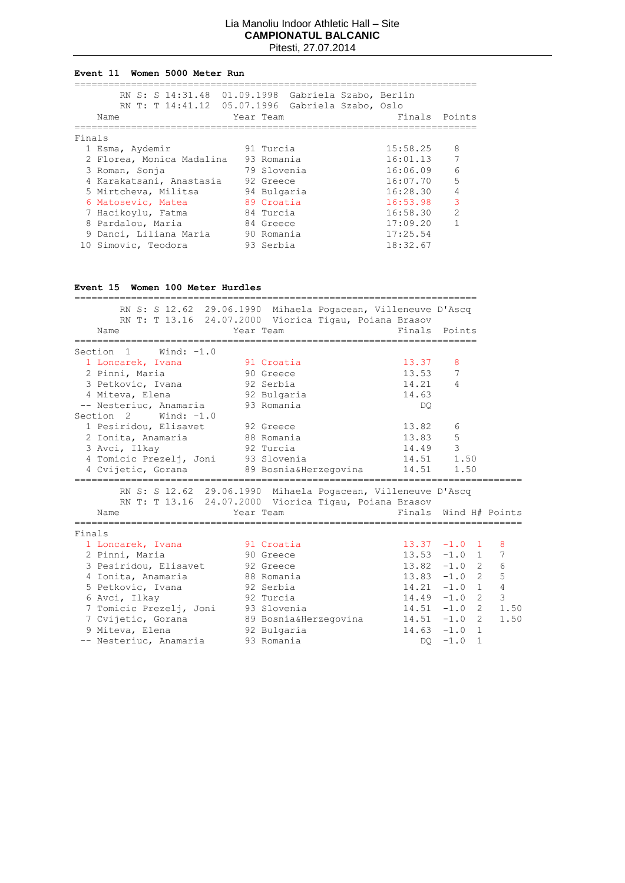#### **Event 11 Women 5000 Meter Run**

|        | RN S: S 14:31.48 01.09.1998 Gabriela Szabo, Berlin<br>RN T: T 14:41.12 05.07.1996 Gabriela Szabo, Oslo |             |  |          |                |
|--------|--------------------------------------------------------------------------------------------------------|-------------|--|----------|----------------|
|        | Name                                                                                                   | Year Team   |  | Finals   | Points         |
|        |                                                                                                        |             |  |          |                |
| Finals |                                                                                                        |             |  |          |                |
|        | 1 Esma, Aydemir                                                                                        | 91 Turcia   |  | 15:58.25 | 8              |
|        | 2 Florea, Monica Madalina                                                                              | 93 Romania  |  | 16:01.13 | 7              |
|        | 3 Roman, Sonja                                                                                         | 79 Slovenia |  | 16:06.09 | 6              |
|        | 4 Karakatsani, Anastasia                                                                               | 92 Greece   |  | 16:07.70 | 5              |
|        | 5 Mirtcheva, Militsa                                                                                   | 94 Bulgaria |  | 16:28.30 | 4              |
|        | 6 Matosevic, Matea                                                                                     | 89 Croatia  |  | 16:53.98 | 3              |
|        | 7 Hacikoylu, Fatma                                                                                     | 84 Turcia   |  | 16:58.30 | $\overline{2}$ |
|        | 8 Pardalou, Maria                                                                                      | 84 Greece   |  | 17:09.20 |                |
|        | 9 Danci, Liliana Maria                                                                                 | 90 Romania  |  | 17:25.54 |                |
|        | 10 Simovic, Teodora                                                                                    | 93 Serbia   |  | 18:32.67 |                |

# **Event 15 Women 100 Meter Hurdles**

| RN S: S 12.62 29.06.1990 Mihaela Pogacean, Villeneuve D'Ascq |                               |
|--------------------------------------------------------------|-------------------------------|
| RN T: T 13.16 24.07.2000 Viorica Tigau, Poiana Brasov        |                               |
| Year Team<br>Name                                            | Finals Points                 |
|                                                              |                               |
| Section 1<br>Wind: $-1.0$                                    |                               |
| and 91 Croatia<br>1 Loncarek, Ivana                          | 13.37<br>8                    |
| 2 Pinni, Maria<br>90 Greece                                  | 13.53<br>7                    |
| 3 Petkovic, Ivana 92 Serbia                                  | $\overline{4}$<br>14.21       |
| 92 Bulgaria<br>4 Miteva, Elena<br>14.63                      |                               |
| -- Nesteriuc, Anamaria 93 Romania                            | DQ.                           |
| Section 2 Wind: -1.0                                         |                               |
| 1 Pesiridou, Elisavet 92 Greece                              | 13.82<br>6                    |
| 2 Ionita, Anamaria<br>88 Romania                             | 5<br>13.83                    |
| 92 Turcia<br>3 Avci, Ilkay                                   | 14.49 3                       |
| 4 Tomicic Prezelj, Joni 93 Slovenia                          | 14.51 1.50                    |
| 4 Cvijetic, Gorana 89 Bosnia&Herzeqovina                     | 14.51<br>1.50                 |
|                                                              |                               |
| RN S: S 12.62 29.06.1990 Mihaela Pogacean, Villeneuve D'Ascq |                               |
| RN T: T 13.16 24.07.2000 Viorica Tigau, Poiana Brasov        |                               |
| Year Team<br>Name                                            | Finals Wind H# Points         |
| Finals                                                       |                               |
| 1 Loncarek, Ivana<br>- 91 Croatia                            | $13.37 -1.0$ 1<br>-8          |
| 2 Pinni, Maria<br>90 Greece                                  | $13.53 -1.0$ 1<br>7           |
| 3 Pesiridou, Elisavet 92 Greece                              | $13.82 -1.0$ 2<br>6           |
| 4 Ionita, Anamaria<br>88 Romania                             | $13.83 - 1.0$ 2<br>5          |
| 5 Petkovic, Ivana<br>92 Serbia                               | $\sqrt{4}$<br>$14.21 - 1.0 1$ |
| era de 1920 Turcia<br>6 Avci, Ilkay                          | 3<br>$14.49 - 1.0$ 2          |
| 7 Tomicic Prezelj, Joni 93 Slovenia                          | 1.50<br>$14.51 - 1.0$ 2       |
| 7 Cvijetic, Gorana 69 Bosnia&Herzegovina                     | $14.51 - 1.0 2$<br>1.50       |
| 9 Miteva, Elena<br>92 Bulgaria                               | $14.63 - 1.0 1$               |
|                                                              |                               |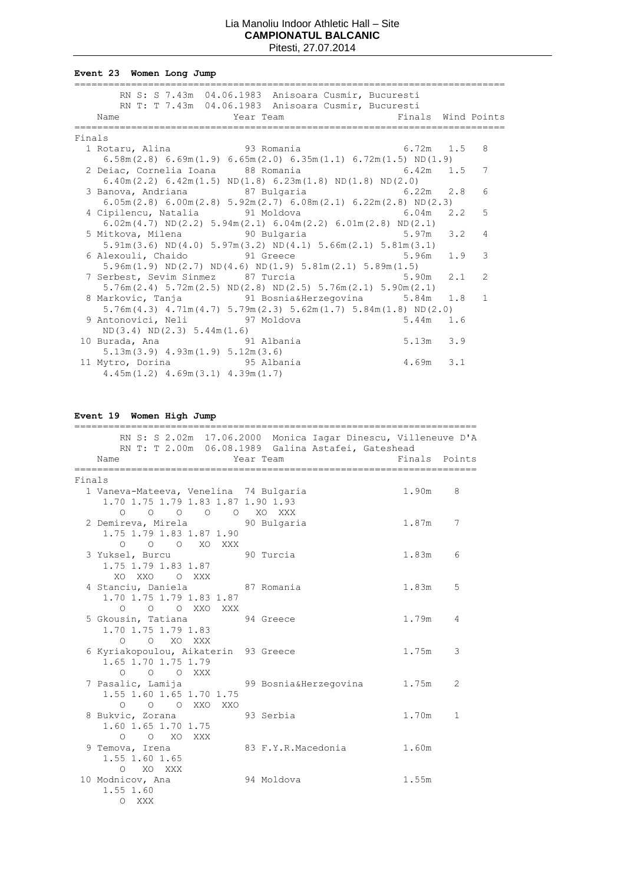**Event 23 Women Long Jump**

|        | RN S: S 7.43m 04.06.1983 Anisoara Cusmir, Bucuresti                                             |   |
|--------|-------------------------------------------------------------------------------------------------|---|
|        | RN T: T 7.43m 04.06.1983 Anisoara Cusmir, Bucuresti                                             |   |
|        | Name<br>Year Team New State of Pinals Wind Points                                               |   |
|        |                                                                                                 |   |
| Finals |                                                                                                 |   |
|        | 1 Rotaru, Alina                 93 Romania                 6.72m   1.5   8                      |   |
|        | $6.58$ m $(2.8)$ $6.69$ m $(1.9)$ $6.65$ m $(2.0)$ $6.35$ m $(1.1)$ $6.72$ m $(1.5)$ ND $(1.9)$ |   |
|        | 2 Deiac, Cornelia Ioana 88 Romania 6.42m 1.5                                                    | 7 |
|        | $6.40m(2.2)$ $6.42m(1.5)$ ND $(1.8)$ $6.23m(1.8)$ ND $(1.8)$ ND $(2.0)$                         |   |
|        |                                                                                                 | 6 |
|        | $6.05m(2.8)$ $6.00m(2.8)$ $5.92m(2.7)$ $6.08m(2.1)$ $6.22m(2.8)$ ND(2.3)                        |   |
|        | 4 Cipilencu, Natalia $\qquad \qquad$ 91 Moldova $\qquad \qquad$ 6.04m 2.2                       | 5 |
|        | $6.02m(4.7)$ ND(2.2) $5.94m(2.1)$ $6.04m(2.2)$ $6.01m(2.8)$ ND(2.1)                             |   |
|        |                                                                                                 | 4 |
|        | $5.91m(3.6) \text{ ND}(4.0) 5.97m(3.2) \text{ ND}(4.1) 5.66m(2.1) 5.81m(3.1)$                   |   |
|        |                                                                                                 | 3 |
|        | $5.96m(1.9) \text{ ND}(2.7) \text{ ND}(4.6) \text{ ND}(1.9) 5.81m(2.1) 5.89m(1.5)$              |   |
|        | 7 Serbest, Sevim Sinmez 87 Turcia 65.90m 2.1                                                    | 2 |
|        | $5.76$ m $(2.4)$ $5.72$ m $(2.5)$ ND $(2.8)$ ND $(2.5)$ $5.76$ m $(2.1)$ $5.90$ m $(2.1)$       |   |
|        | 8 Markovic, Tanja (31 Bosnia&Herzegovina (5.84m 1.8)                                            | 1 |
|        | $5.76m(4.3)$ $4.71m(4.7)$ $5.79m(2.3)$ $5.62m(1.7)$ $5.84m(1.8)$ ND(2.0)                        |   |
|        |                                                                                                 |   |
|        | ND(3.4) ND(2.3) 5.44m(1.6)                                                                      |   |
|        | $5.13m$ $3.9$<br>10 Burada, Ana 591 Albania                                                     |   |
|        | $5.13m(3.9)$ $4.93m(1.9)$ $5.12m(3.6)$                                                          |   |
|        | 11 Mytro, Dorina 65 Albania<br>4.69m 3.1                                                        |   |
|        | $4.45m(1.2)$ $4.69m(3.1)$ $4.39m(1.7)$                                                          |   |

**Event 19 Women High Jump**

| RN S: S 2.02m 17.06.2000 Monica Iagar Dinescu, Villeneuve D'A |        |        |
|---------------------------------------------------------------|--------|--------|
| RN T: T 2.00m 06.08.1989 Galina Astafei, Gateshead            |        |        |
| Year Team<br>Name                                             | Finals | Points |
|                                                               |        |        |
| Finals                                                        |        |        |
| 1 Vaneva-Mateeva, Venelina 74 Bulgaria                        | 1.90m  | 8      |
| 1.70 1.75 1.79 1.83 1.87 1.90 1.93                            |        |        |
| 0 0 0 0 0 XO XXX                                              |        |        |
| 2 Demireva, Mirela 50 90 Bulgaria                             | 1.87m  | 7      |
| 1.75 1.79 1.83 1.87 1.90                                      |        |        |
| O O O XO XXX                                                  |        |        |
| 90 Turcia<br>3 Yuksel, Burcu                                  | 1.83m  | 6      |
| 1.75 1.79 1.83 1.87<br>XO XXO                                 |        |        |
| O XXX                                                         | 1.83m  | 5      |
| 4 Stanciu, Daniela 67 Romania<br>1.70 1.75 1.79 1.83 1.87     |        |        |
| O O O XXO XXX                                                 |        |        |
| 5 Gkousin, Tatiana 94 Greece                                  | 1.79m  | 4      |
| 1.70 1.75 1.79 1.83                                           |        |        |
| O O XO XXX                                                    |        |        |
| 6 Kyriakopoulou, Aikaterin 93 Greece                          | 1.75m  | 3      |
| 1.65 1.70 1.75 1.79                                           |        |        |
| O O O XXX                                                     |        |        |
| 7 Pasalic, Lamija<br>99 Bosnia&Herzegovina 1.75m              |        | 2      |
| 1.55 1.60 1.65 1.70 1.75                                      |        |        |
| O O O XXO XXO                                                 |        |        |
| 93 Serbia<br>8 Bukvic, Zorana                                 | 1.70m  | 1      |
| 1.60 1.65 1.70 1.75                                           |        |        |
| $O$ $O$ $XO$ $XXX$                                            |        |        |
| 9 Temova, Irena<br>83 F.Y.R.Macedonia                         | 1.60m  |        |
| 1.55 1.60 1.65                                                |        |        |
| O XO XXX                                                      |        |        |
| 94 Moldova<br>10 Modnicov, Ana                                | 1.55m  |        |
| 1.55 1.60                                                     |        |        |
| O XXX                                                         |        |        |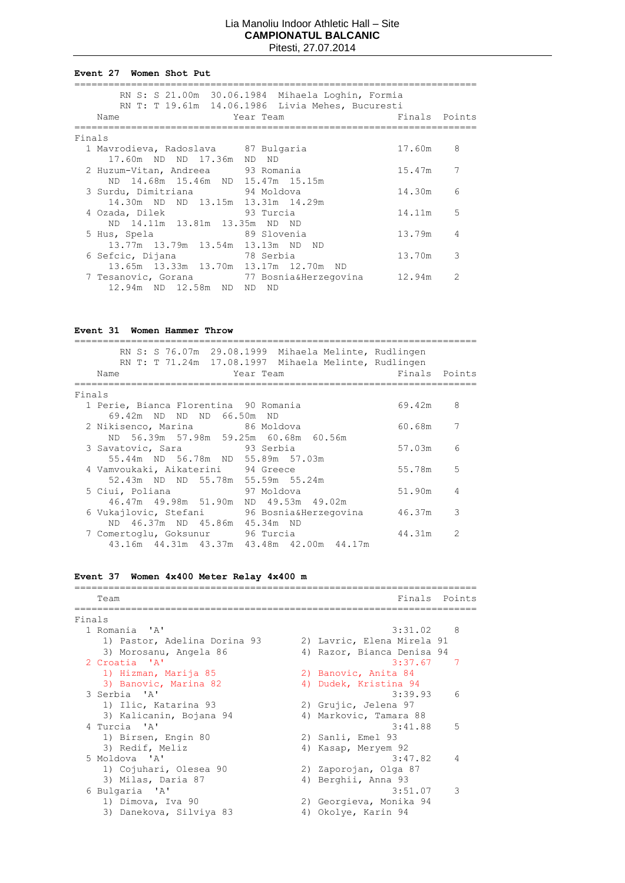#### **Event 27 Women Shot Put**

|        | RN S: S 21.00m 30.06.1984 Mihaela Loghin, Formia<br>RN T: T 19.61m 14.06.1986 Livia Mehes, Bucuresti |               |   |
|--------|------------------------------------------------------------------------------------------------------|---------------|---|
|        | Name<br>Year Team                                                                                    | Finals Points |   |
| Finals |                                                                                                      |               |   |
|        | 1 Mavrodieva, Radoslava 87 Bulgaria                                                                  | 17.60m        | 8 |
|        | 17.60m ND ND 17.36m ND ND                                                                            |               |   |
|        | 2 Huzum-Vitan, Andreea 93 Romania<br>ND 14.68m 15.46m ND 15.47m 15.15m                               | 15.47m        | 7 |
|        | 3 Surdu, Dimitriana 94 Moldova                                                                       | 14.30m        | 6 |
|        | 14.30m ND ND 13.15m 13.31m 14.29m                                                                    |               |   |
|        | era de 1930 Turcia<br>4 Ozada, Dilek                                                                 | 14.11m        | 5 |
|        | ND 14.11m 13.81m 13.35m ND ND                                                                        |               |   |
|        | er de 189 Slovenia<br>5 Hus, Spela<br>13.77m 13.79m 13.54m 13.13m ND ND                              | 13.79m        | 4 |
|        | 6 Sefcic, Dijana<br>78 Serbia                                                                        | 13.70m        | 3 |
|        | 13.65m 13.33m 13.70m 13.17m 12.70m ND                                                                |               |   |
|        | 7 Tesanovic, Gorana and 77 Bosnia&Herzeqovina                                                        | 12.94m        | 2 |
|        | 12.94m ND 12.58m ND ND<br>ND)                                                                        |               |   |

# **Event 31 Women Hammer Throw**

| RN S: S 76.07m 29.08.1999 Mihaela Melinte, Rudlingen<br>RN T: T 71.24m 17.08.1997 Mihaela Melinte, Rudlingen<br>Name<br>Year Team | Finals Points |               |
|-----------------------------------------------------------------------------------------------------------------------------------|---------------|---------------|
| Finals                                                                                                                            |               |               |
| 1 Perie, Bianca Florentina 90 Romania                                                                                             | 69.42m        | 8             |
| 69.42m ND ND ND 66.50m ND                                                                                                         |               |               |
| 2 Nikisenco, Marina 66 Moldova                                                                                                    | 60.68m        | 7             |
| ND 56.39m 57.98m 59.25m 60.68m 60.56m                                                                                             | 57.03m        | 6             |
| 3 Savatovic, Sara 93 Serbia<br>55.44m ND 56.78m ND 55.89m 57.03m                                                                  |               |               |
| 4 Vamvoukaki, Aikaterini 94 Greece                                                                                                | 55.78m        | 5             |
| 52.43m ND ND 55.78m 55.59m 55.24m                                                                                                 |               |               |
| 5 Ciui, Poliana<br>97 Moldova                                                                                                     | 51.90m        | 4             |
| 46.47m  49.98m  51.90m<br>ND 49.53m 49.02m                                                                                        |               |               |
| 6 Vukajlovic, Stefani       96 Bosnia&Herzeqovina                                                                                 | 46.37m        | 3             |
| ND 46.37m ND 45.86m 45.34m ND                                                                                                     |               |               |
| 7 Comertoglu, Goksunur 96 Turcia                                                                                                  | 44.31m        | $\mathcal{P}$ |
| 43.16m  44.31m  43.37m  43.48m  42.00m  44.17m                                                                                    |               |               |

# **Event 37 Women 4x400 Meter Relay 4x400 m**

| Team                         |  | Finals                     | Points         |  |
|------------------------------|--|----------------------------|----------------|--|
|                              |  |                            |                |  |
| Finals                       |  |                            |                |  |
| 1 Romania 'A'                |  | $3:31.02$ 8                |                |  |
| 1) Pastor, Adelina Dorina 93 |  | 2) Lavric, Elena Mirela 91 |                |  |
| 3) Morosanu, Angela 86       |  | 4) Razor, Bianca Denisa 94 |                |  |
| 2 Croatia 'A'                |  | 3:37.67                    | -7             |  |
| 1) Hizman, Marija 85         |  | 2) Banovic, Anita 84       |                |  |
| 3) Banovic, Marina 82        |  | 4) Dudek, Kristina 94      |                |  |
| 3 Serbia 'A'                 |  | 3:39.93                    | 6              |  |
| 1) Ilic, Katarina 93         |  | 2) Grujic, Jelena 97       |                |  |
| 3) Kalicanin, Bojana 94      |  | 4) Markovic, Tamara 88     |                |  |
| 4 Turcia 'A'                 |  | 3:41.88                    | 5              |  |
| 1) Birsen, Engin 80          |  | 2) Sanli, Emel 93          |                |  |
| 3) Redif, Meliz              |  | 4) Kasap, Meryem 92        |                |  |
| 5 Moldova 'A'                |  | 3:47.82                    | $\overline{4}$ |  |
| 1) Cojuhari, Olesea 90       |  | 2) Zaporojan, Olga 87      |                |  |
| 3) Milas, Daria 87           |  | 4) Berghii, Anna 93        |                |  |
| 6 Bulgaria 'A'               |  | 3:51.07                    | 3              |  |
| 1) Dimova, Iva 90            |  | 2) Georgieva, Monika 94    |                |  |
| 3) Danekova, Silviya 83      |  | 4) Okolye, Karin 94        |                |  |